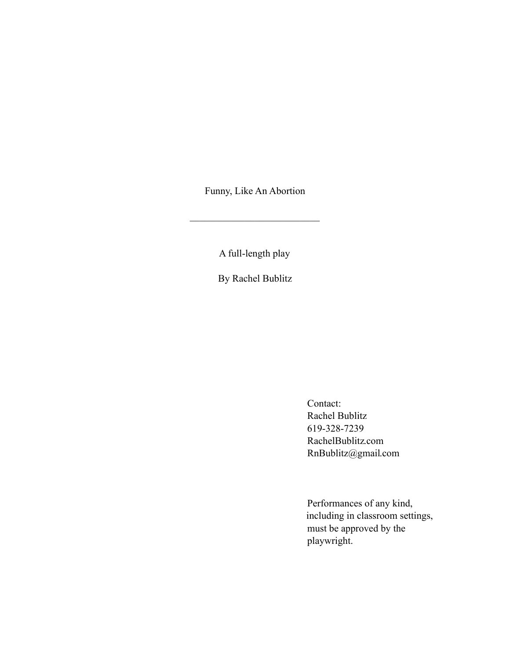Funny, Like An Abortion

 $\mathcal{L}_\text{max}$  , where  $\mathcal{L}_\text{max}$  and  $\mathcal{L}_\text{max}$ 

A full-length play

By Rachel Bublitz

Contact: Rachel Bublitz 619-328-7239 RachelBublitz.com RnBublitz@gmail.com

Performances of any kind, including in classroom settings, must be approved by the playwright.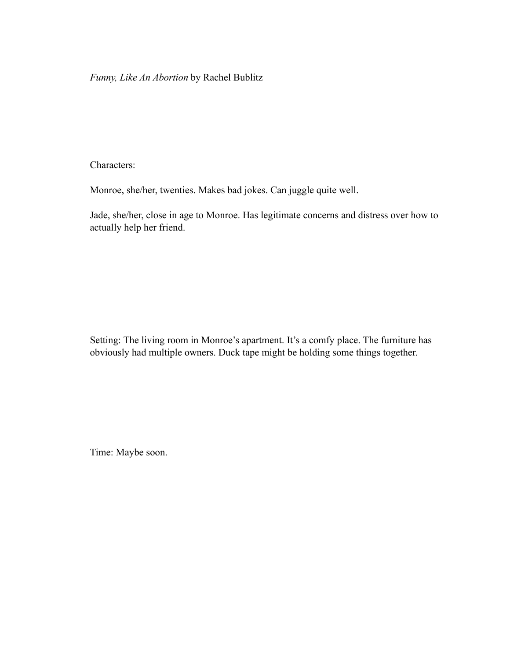*Funny, Like An Abortion* by Rachel Bublitz

Characters:

Monroe, she/her, twenties. Makes bad jokes. Can juggle quite well.

Jade, she/her, close in age to Monroe. Has legitimate concerns and distress over how to actually help her friend.

Setting: The living room in Monroe's apartment. It's a comfy place. The furniture has obviously had multiple owners. Duck tape might be holding some things together.

Time: Maybe soon.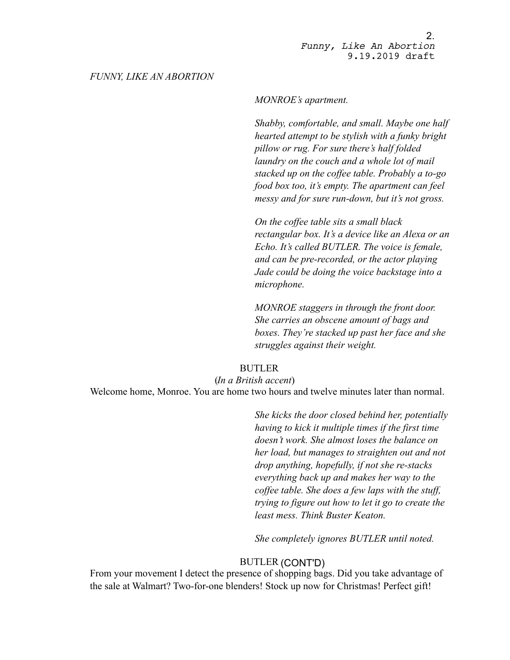## *FUNNY, LIKE AN ABORTION*

## *MONROE's apartment.*

*Shabby, comfortable, and small. Maybe one half hearted attempt to be stylish with a funky bright pillow or rug. For sure there's half folded laundry on the couch and a whole lot of mail stacked up on the coffee table. Probably a to-go food box too, it's empty. The apartment can feel messy and for sure run-down, but it's not gross.* 

*On the coffee table sits a small black rectangular box. It's a device like an Alexa or an Echo. It's called BUTLER. The voice is female, and can be pre-recorded, or the actor playing Jade could be doing the voice backstage into a microphone.* 

*MONROE staggers in through the front door. She carries an obscene amount of bags and boxes. They're stacked up past her face and she struggles against their weight.* 

# BUTLER

(*In a British accent*) Welcome home, Monroe. You are home two hours and twelve minutes later than normal.

> *She kicks the door closed behind her, potentially having to kick it multiple times if the first time doesn't work. She almost loses the balance on her load, but manages to straighten out and not drop anything, hopefully, if not she re-stacks everything back up and makes her way to the coffee table. She does a few laps with the stuff, trying to figure out how to let it go to create the least mess. Think Buster Keaton.*

*She completely ignores BUTLER until noted.*

# BUTLER (CONT'D)

From your movement I detect the presence of shopping bags. Did you take advantage of the sale at Walmart? Two-for-one blenders! Stock up now for Christmas! Perfect gift!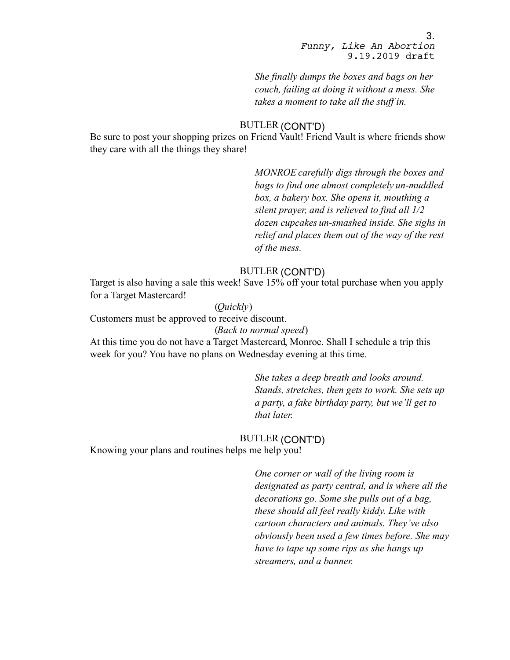*She finally dumps the boxes and bags on her couch, failing at doing it without a mess. She takes a moment to take all the stuff in.* 

# BUTLER (CONT'D)

Be sure to post your shopping prizes on Friend Vault! Friend Vault is where friends show they care with all the things they share!

> *MONROE carefully digs through the boxes and bags to find one almost completely un-muddled box, a bakery box. She opens it, mouthing a silent prayer, and is relieved to find all 1/2 dozen cupcakes un-smashed inside. She sighs in relief and places them out of the way of the rest of the mess.*

# BUTLER (CONT'D)

Target is also having a sale this week! Save 15% off your total purchase when you apply for a Target Mastercard!

# (*Quickly*)

Customers must be approved to receive discount.

## (*Back to normal speed*)

At this time you do not have a Target Mastercard, Monroe. Shall I schedule a trip this week for you? You have no plans on Wednesday evening at this time.

> *She takes a deep breath and looks around. Stands, stretches, then gets to work. She sets up a party, a fake birthday party, but we'll get to that later.*

# BUTLER (CONT'D)

Knowing your plans and routines helps me help you!

*One corner or wall of the living room is designated as party central, and is where all the decorations go. Some she pulls out of a bag, these should all feel really kiddy. Like with cartoon characters and animals. They've also obviously been used a few times before. She may have to tape up some rips as she hangs up streamers, and a banner.*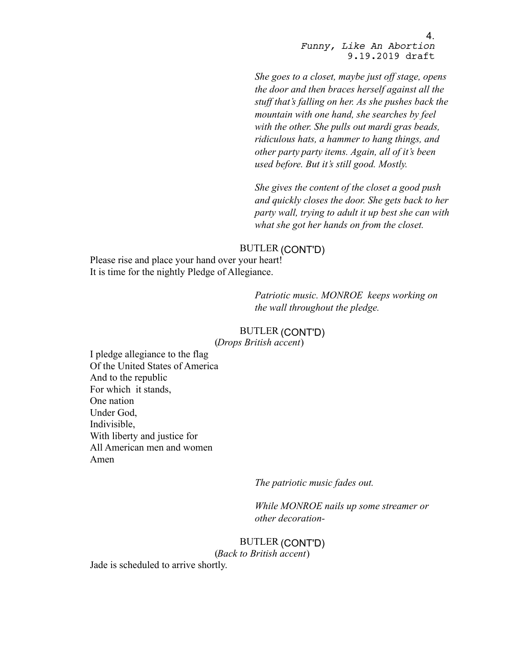*She goes to a closet, maybe just off stage, opens the door and then braces herself against all the stuff that's falling on her. As she pushes back the mountain with one hand, she searches by feel with the other. She pulls out mardi gras beads, ridiculous hats, a hammer to hang things, and other party party items. Again, all of it's been used before. But it's still good. Mostly.* 

*She gives the content of the closet a good push and quickly closes the door. She gets back to her party wall, trying to adult it up best she can with what she got her hands on from the closet.* 

# BUTLER (CONT'D)

Please rise and place your hand over your heart! It is time for the nightly Pledge of Allegiance.

> *Patriotic music. MONROE keeps working on the wall throughout the pledge.*

# BUTLER (CONT'D)

(*Drops British accent*)

I pledge allegiance to the flag Of the United States of America And to the republic For which it stands, One nation Under God, Indivisible, With liberty and justice for All American men and women Amen

*The patriotic music fades out.* 

*While MONROE nails up some streamer or other decoration-*

BUTLER (CONT'D) (*Back to British accent*)

Jade is scheduled to arrive shortly.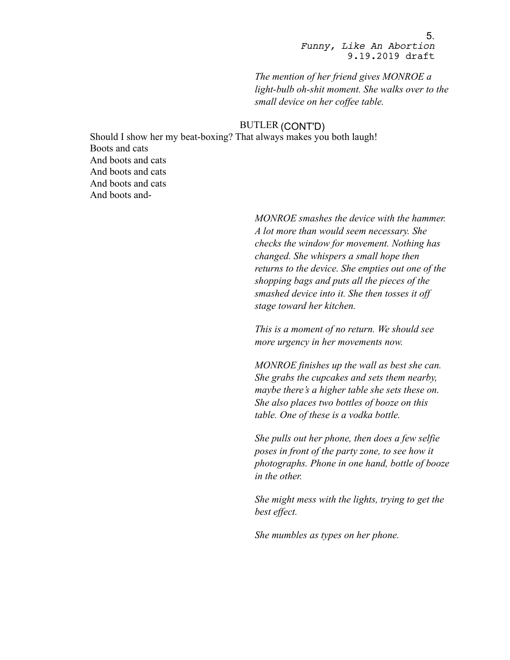*The mention of her friend gives MONROE a light-bulb oh-shit moment. She walks over to the small device on her coffee table.*

## BUTLER (CONT'D)

Should I show her my beat-boxing? That always makes you both laugh! Boots and cats And boots and cats And boots and cats And boots and cats And boots and-

> *MONROE smashes the device with the hammer. A lot more than would seem necessary. She checks the window for movement. Nothing has changed. She whispers a small hope then returns to the device. She empties out one of the shopping bags and puts all the pieces of the smashed device into it. She then tosses it off stage toward her kitchen.*

*This is a moment of no return. We should see more urgency in her movements now.*

*MONROE finishes up the wall as best she can. She grabs the cupcakes and sets them nearby, maybe there's a higher table she sets these on. She also places two bottles of booze on this table. One of these is a vodka bottle.*

*She pulls out her phone, then does a few selfie poses in front of the party zone, to see how it photographs. Phone in one hand, bottle of booze in the other.* 

*She might mess with the lights, trying to get the best effect.* 

*She mumbles as types on her phone.*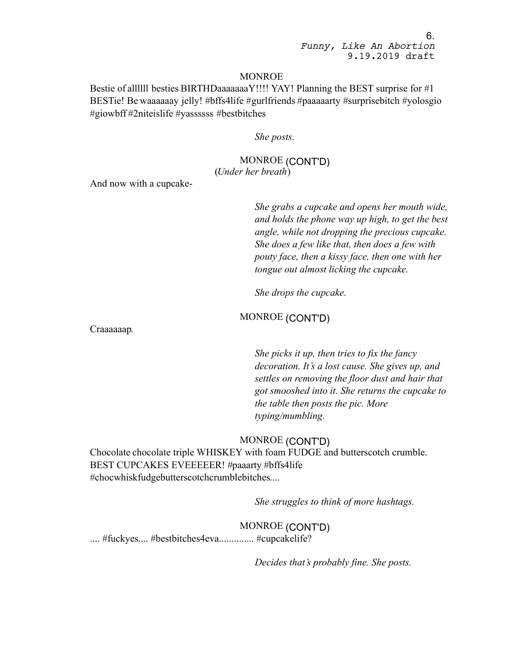#### MONROE

Bestie of all lll besties BIRTHDaaaaaaa $Y$ !!!! YAY! Planning the BEST surprise for  $\#1$ BESTie! Be waaaaaay jelly! #bffs4life #gurlfriends #paaaaarty #surprisebitch #yolosgio #giowbff #2niteislife #yassssss #bestbitches

*She posts.*

# MONROE (CONT'D) (*Under her breath*)

And now with a cupcake-

*She grabs a cupcake and opens her mouth wide, and holds the phone way up high, to get the best angle, while not dropping the precious cupcake. She does a few like that, then does a few with pouty face, then a kissy face, then one with her tongue out almost licking the cupcake.* 

*She drops the cupcake.*

MONROE (CONT'D)

Craaaaaap.

*She picks it up, then tries to fix the fancy decoration. It's a lost cause. She gives up, and settles on removing the floor dust and hair that got smooshed into it. She returns the cupcake to the table then posts the pic. More typing/mumbling.*

# MONROE (CONT'D)

Chocolate chocolate triple WHISKEY with foam FUDGE and butterscotch crumble. BEST CUPCAKES EVEEEEER! #paaarty #bffs4life #chocwhiskfudgebutterscotchcrumblebitches....

*She struggles to think of more hashtags.*

MONROE (CONT'D) ..... #fuckyes.... #bestbitches4eva............... #cupcakelife?

*Decides that's probably fine. She posts.*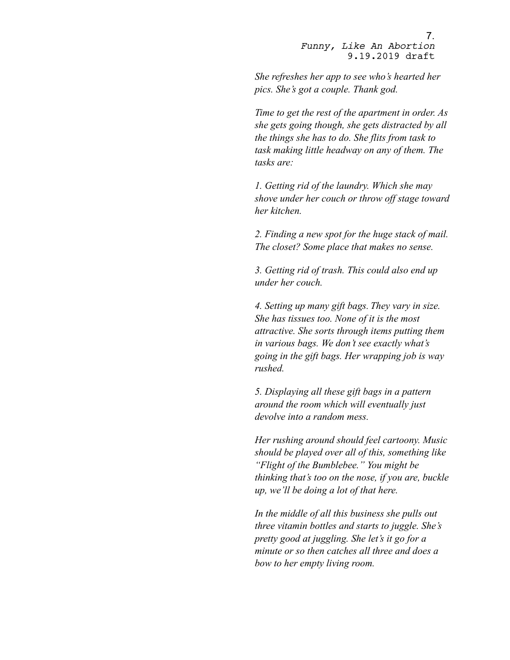*She refreshes her app to see who's hearted her pics. She's got a couple. Thank god.*

*Time to get the rest of the apartment in order. As she gets going though, she gets distracted by all the things she has to do. She flits from task to task making little headway on any of them. The tasks are:*

*1. Getting rid of the laundry. Which she may shove under her couch or throw off stage toward her kitchen.*

*2. Finding a new spot for the huge stack of mail. The closet? Some place that makes no sense.*

*3. Getting rid of trash. This could also end up under her couch.*

*4. Setting up many gift bags. They vary in size. She has tissues too. None of it is the most attractive. She sorts through items putting them in various bags. We don't see exactly what's going in the gift bags. Her wrapping job is way rushed.* 

*5. Displaying all these gift bags in a pattern around the room which will eventually just devolve into a random mess.*

*Her rushing around should feel cartoony. Music should be played over all of this, something like "Flight of the Bumblebee." You might be thinking that's too on the nose, if you are, buckle up, we'll be doing a lot of that here.*

*In the middle of all this business she pulls out three vitamin bottles and starts to juggle. She's pretty good at juggling. She let's it go for a minute or so then catches all three and does a bow to her empty living room.*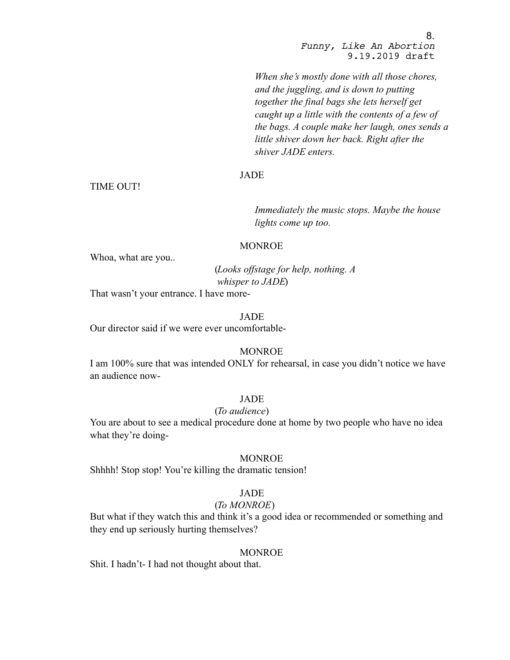*When she's mostly done with all those chores, and the juggling, and is down to putting together the final bags she lets herself get caught up a little with the contents of a few of the bags. A couple make her laugh, ones sends a little shiver down her back. Right after the shiver JADE enters.*

# JADE

TIME OUT!

*Immediately the music stops. Maybe the house lights come up too.*

## MONROE

Whoa, what are you..

(*Looks offstage for help, nothing. A whisper to JADE*)

That wasn't your entrance. I have more-

## JADE

Our director said if we were ever uncomfortable-

#### MONROE

I am 100% sure that was intended ONLY for rehearsal, in case you didn't notice we have an audience now-

#### JADE

## (*To audience*)

You are about to see a medical procedure done at home by two people who have no idea what they're doing-

# MONROE

Shhhh! Stop stop! You're killing the dramatic tension!

## JADE

# (*To MONROE*)

But what if they watch this and think it's a good idea or recommended or something and they end up seriously hurting themselves?

## **MONROE**

Shit. I hadn't- I had not thought about that.

8.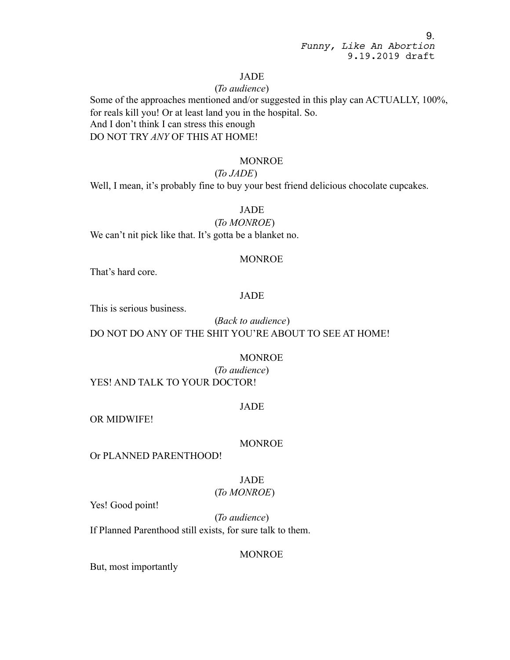# JADE

## (*To audience*)

Some of the approaches mentioned and/or suggested in this play can ACTUALLY, 100%, for reals kill you! Or at least land you in the hospital. So. And I don't think I can stress this enough DO NOT TRY *ANY* OF THIS AT HOME!

## MONROE

# (*To JADE*)

Well, I mean, it's probably fine to buy your best friend delicious chocolate cupcakes.

# JADE

#### (*To MONROE*)

We can't nit pick like that. It's gotta be a blanket no.

#### MONROE

That's hard core.

#### JADE

This is serious business.

(*Back to audience*) DO NOT DO ANY OF THE SHIT YOU'RE ABOUT TO SEE AT HOME!

#### **MONROE**

(*To audience*) YES! AND TALK TO YOUR DOCTOR!

#### JADE

OR MIDWIFE!

#### MONROE

Or PLANNED PARENTHOOD!

# JADE

# (*To MONROE*)

Yes! Good point!

(*To audience*) If Planned Parenthood still exists, for sure talk to them.

#### MONROE

But, most importantly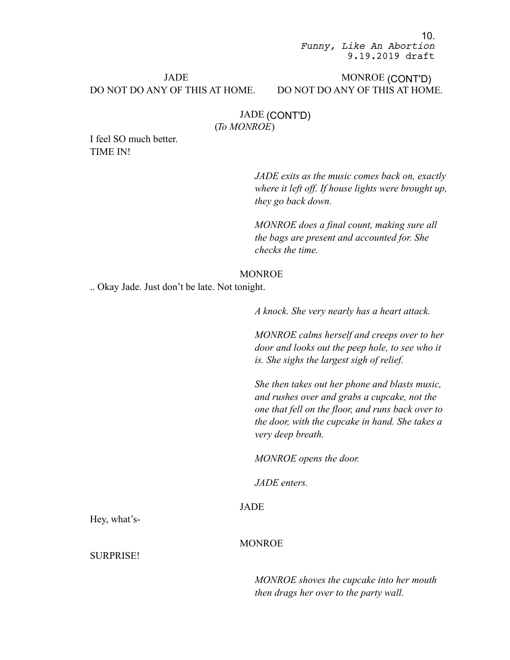# JADE DO NOT DO ANY OF THIS AT HOME.

# MONROE (CONT'D) DO NOT DO ANY OF THIS AT HOME.

# JADE (CONT'D) (*To MONROE*)

I feel SO much better. TIME IN!

> *JADE exits as the music comes back on, exactly where it left off. If house lights were brought up, they go back down.*

*MONROE does a final count, making sure all the bags are present and accounted for. She checks the time.*

#### MONROE

.. Okay Jade. Just don't be late. Not tonight.

*A knock. She very nearly has a heart attack.*

*MONROE calms herself and creeps over to her door and looks out the peep hole, to see who it is. She sighs the largest sigh of relief.*

*She then takes out her phone and blasts music, and rushes over and grabs a cupcake, not the one that fell on the floor, and runs back over to the door, with the cupcake in hand. She takes a very deep breath.*

*MONROE opens the door.*

*JADE enters.*

# JADE

MONROE

Hey, what's-

SURPRISE!

*MONROE shoves the cupcake into her mouth then drags her over to the party wall.*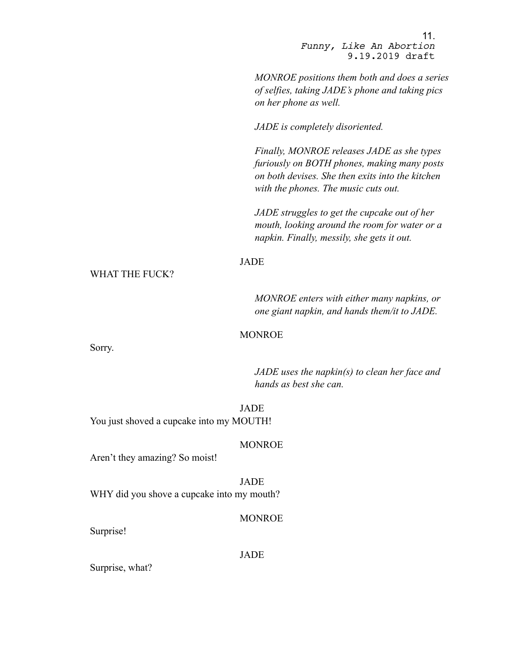*MONROE positions them both and does a series of selfies, taking JADE's phone and taking pics on her phone as well.*

*JADE is completely disoriented.*

*Finally, MONROE releases JADE as she types furiously on BOTH phones, making many posts on both devises. She then exits into the kitchen with the phones. The music cuts out.*

*JADE struggles to get the cupcake out of her mouth, looking around the room for water or a napkin. Finally, messily, she gets it out.*

# JADE

WHAT THE FUCK?

*MONROE enters with either many napkins, or one giant napkin, and hands them/it to JADE.*

#### MONROE

Sorry.

*JADE uses the napkin(s) to clean her face and hands as best she can.*

JADE You just shoved a cupcake into my MOUTH!

#### MONROE

Aren't they amazing? So moist!

JADE WHY did you shove a cupcake into my mouth?

#### MONROE

Surprise!

JADE

Surprise, what?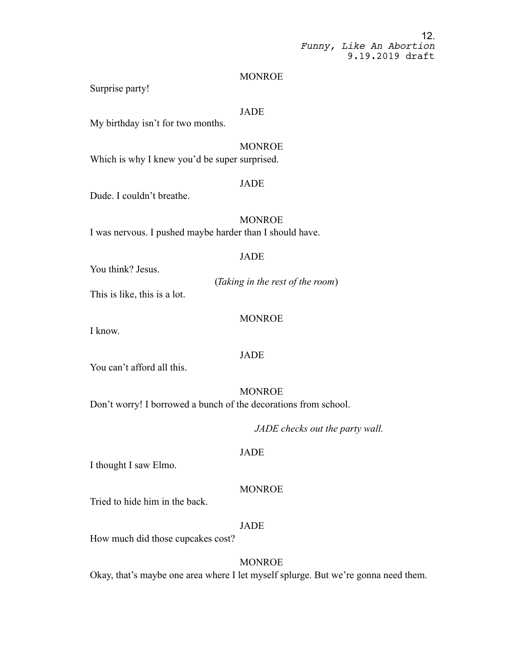#### MONROE

Surprise party!

## **JADE**

My birthday isn't for two months.

# MONROE

Which is why I knew you'd be super surprised.

## JADE

Dude. I couldn't breathe.

**MONROE** I was nervous. I pushed maybe harder than I should have.

#### JADE

You think? Jesus.

(*Taking in the rest of the room*) This is like, this is a lot.

#### MONROE

I know.

## **JADE**

You can't afford all this.

**MONROE** Don't worry! I borrowed a bunch of the decorations from school.

*JADE checks out the party wall.*

#### JADE

I thought I saw Elmo.

#### MONROE

Tried to hide him in the back.

## JADE

How much did those cupcakes cost?

#### MONROE

Okay, that's maybe one area where I let myself splurge. But we're gonna need them.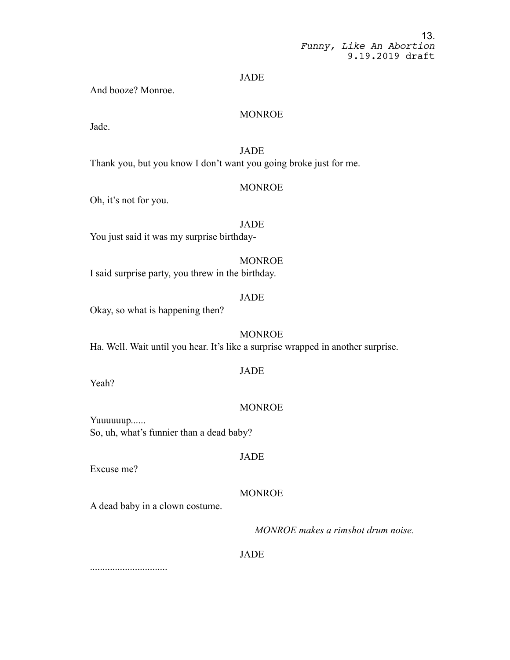#### JADE

And booze? Monroe.

#### MONROE

Jade.

# JADE

Thank you, but you know I don't want you going broke just for me.

#### MONROE

Oh, it's not for you.

JADE You just said it was my surprise birthday-

#### MONROE

I said surprise party, you threw in the birthday.

### JADE

Okay, so what is happening then?

#### MONROE

Ha. Well. Wait until you hear. It's like a surprise wrapped in another surprise.

# JADE

Yeah?

#### MONROE

Yuuuuuup...... So, uh, what's funnier than a dead baby?

#### JADE

Excuse me?

#### MONROE

A dead baby in a clown costume.

*MONROE makes a rimshot drum noise.*

#### JADE

...............................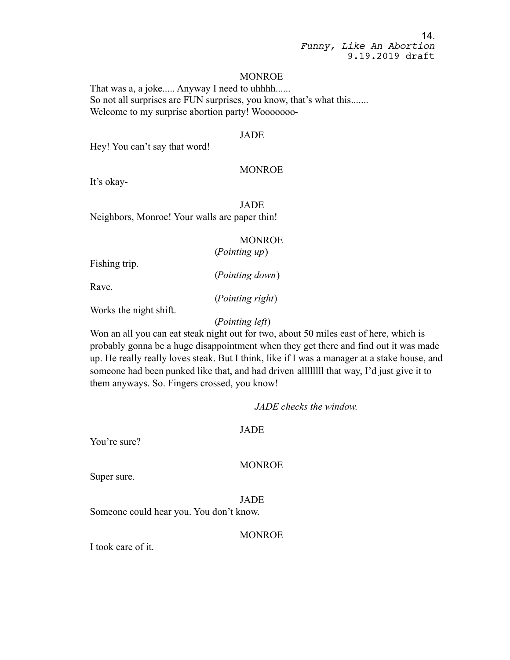#### MONROE

That was a, a joke..... Anyway I need to uhhhh...... So not all surprises are FUN surprises, you know, that's what this....... Welcome to my surprise abortion party! Wooooooo-

## JADE

Hey! You can't say that word!

## MONROE

It's okay-

JADE Neighbors, Monroe! Your walls are paper thin!

#### MONROE

(*Pointing up*)

Fishing trip.

(*Pointing down*)

Rave.

(*Pointing right*)

Works the night shift.

## (*Pointing left*)

Won an all you can eat steak night out for two, about 50 miles east of here, which is probably gonna be a huge disappointment when they get there and find out it was made up. He really really loves steak. But I think, like if I was a manager at a stake house, and someone had been punked like that, and had driven allllllll that way, I'd just give it to them anyways. So. Fingers crossed, you know!

*JADE checks the window.*

#### JADE

You're sure?

#### MONROE

Super sure.

JADE Someone could hear you. You don't know.

## MONROE

I took care of it.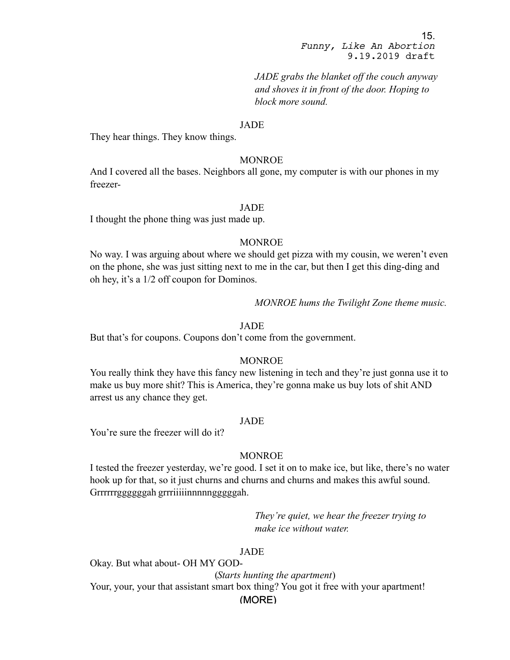*JADE grabs the blanket off the couch anyway and shoves it in front of the door. Hoping to block more sound.*

## JADE

They hear things. They know things.

#### MONROE

And I covered all the bases. Neighbors all gone, my computer is with our phones in my freezer-

## JADE

I thought the phone thing was just made up.

## MONROE

No way. I was arguing about where we should get pizza with my cousin, we weren't even on the phone, she was just sitting next to me in the car, but then I get this ding-ding and oh hey, it's a 1/2 off coupon for Dominos.

*MONROE hums the Twilight Zone theme music.*

## JADE

But that's for coupons. Coupons don't come from the government.

#### MONROE

You really think they have this fancy new listening in tech and they're just gonna use it to make us buy more shit? This is America, they're gonna make us buy lots of shit AND arrest us any chance they get.

#### JADE

You're sure the freezer will do it?

#### MONROE

I tested the freezer yesterday, we're good. I set it on to make ice, but like, there's no water hook up for that, so it just churns and churns and churns and makes this awful sound. Grrrrrrggggggah grrriiiiinnnnngggggah.

> *They're quiet, we hear the freezer trying to make ice without water.*

# JADE

(MORE) Okay. But what about- OH MY GOD- (*Starts hunting the apartment*) Your, your, your that assistant smart box thing? You got it free with your apartment!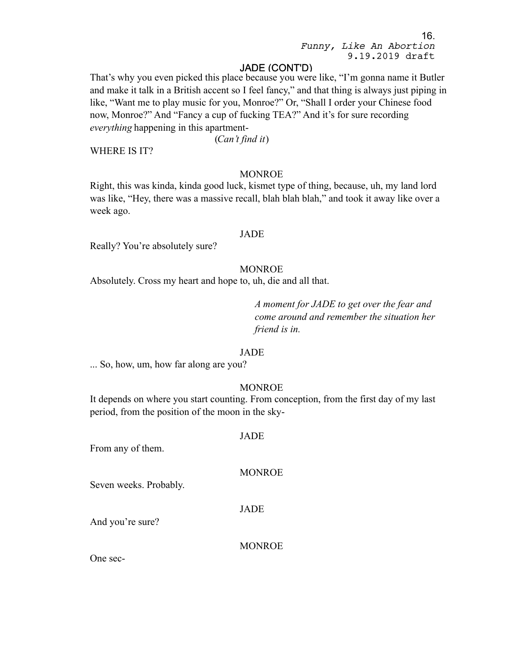# JADE (CONT'D)

That's why you even picked this place because you were like, "I'm gonna name it Butler and make it talk in a British accent so I feel fancy," and that thing is always just piping in like, "Want me to play music for you, Monroe?" Or, "Shall I order your Chinese food now, Monroe?" And "Fancy a cup of fucking TEA?" And it's for sure recording *everything* happening in this apartment-

(*Can't find it*)

WHERE IS IT?

## MONROE

Right, this was kinda, kinda good luck, kismet type of thing, because, uh, my land lord was like, "Hey, there was a massive recall, blah blah blah," and took it away like over a week ago.

## JADE

Really? You're absolutely sure?

#### MONROE

Absolutely. Cross my heart and hope to, uh, die and all that.

*A moment for JADE to get over the fear and come around and remember the situation her friend is in.*

## JADE

... So, how, um, how far along are you?

#### **MONROE**

It depends on where you start counting. From conception, from the first day of my last period, from the position of the moon in the sky-

#### JADE

From any of them.

#### MONROE

Seven weeks. Probably.

JADE

And you're sure?

#### MONROE

One sec-

16.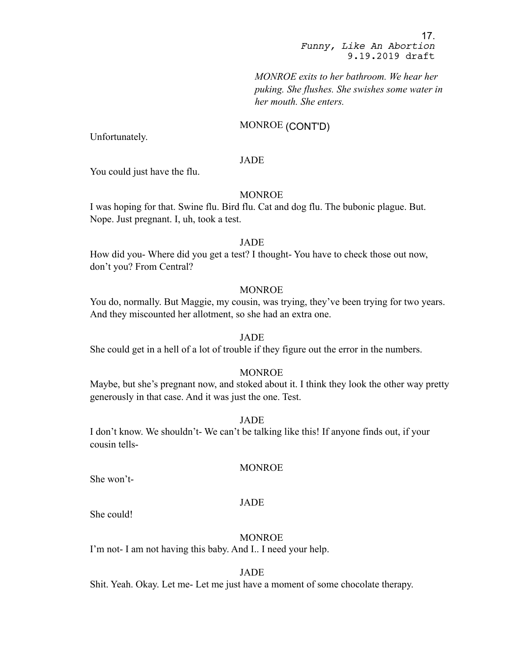*MONROE exits to her bathroom. We hear her puking. She flushes. She swishes some water in her mouth. She enters.*

## MONROE (CONT'D)

Unfortunately.

#### JADE

You could just have the flu.

## MONROE

I was hoping for that. Swine flu. Bird flu. Cat and dog flu. The bubonic plague. But. Nope. Just pregnant. I, uh, took a test.

#### JADE

How did you- Where did you get a test? I thought- You have to check those out now, don't you? From Central?

# **MONROE**

You do, normally. But Maggie, my cousin, was trying, they've been trying for two years. And they miscounted her allotment, so she had an extra one.

#### JADE

She could get in a hell of a lot of trouble if they figure out the error in the numbers.

## **MONROE**

Maybe, but she's pregnant now, and stoked about it. I think they look the other way pretty generously in that case. And it was just the one. Test.

#### JADE

I don't know. We shouldn't- We can't be talking like this! If anyone finds out, if your cousin tells-

#### MONROE

She won't-

#### JADE

She could!

## MONROE

I'm not- I am not having this baby. And I.. I need your help.

#### JADE

Shit. Yeah. Okay. Let me- Let me just have a moment of some chocolate therapy.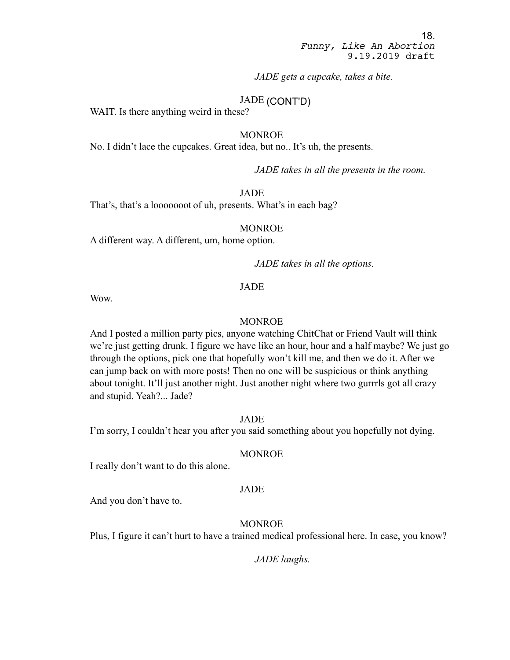*JADE gets a cupcake, takes a bite.*

# JADE (CONT'D)

WAIT. Is there anything weird in these?

#### MONROE

No. I didn't lace the cupcakes. Great idea, but no.. It's uh, the presents.

*JADE takes in all the presents in the room.*

JADE

That's, that's a looooooot of uh, presents. What's in each bag?

#### MONROE

A different way. A different, um, home option.

*JADE takes in all the options.*

#### JADE

Wow.

#### MONROE

And I posted a million party pics, anyone watching ChitChat or Friend Vault will think we're just getting drunk. I figure we have like an hour, hour and a half maybe? We just go through the options, pick one that hopefully won't kill me, and then we do it. After we can jump back on with more posts! Then no one will be suspicious or think anything about tonight. It'll just another night. Just another night where two gurrrls got all crazy and stupid. Yeah?... Jade?

JADE

I'm sorry, I couldn't hear you after you said something about you hopefully not dying.

## MONROE

I really don't want to do this alone.

#### JADE

And you don't have to.

# MONROE

Plus, I figure it can't hurt to have a trained medical professional here. In case, you know?

*JADE laughs.*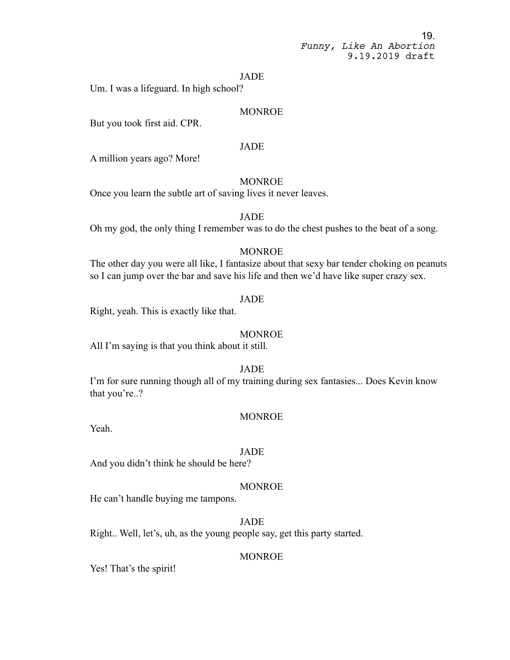#### JADE

Um. I was a lifeguard. In high school?

## MONROE

But you took first aid. CPR.

# JADE

A million years ago? More!

## MONROE

Once you learn the subtle art of saving lives it never leaves.

# JADE

Oh my god, the only thing I remember was to do the chest pushes to the beat of a song.

## MONROE

The other day you were all like, I fantasize about that sexy bar tender choking on peanuts so I can jump over the bar and save his life and then we'd have like super crazy sex.

#### JADE

Right, yeah. This is exactly like that.

#### MONROE

All I'm saying is that you think about it still.

#### JADE

I'm for sure running though all of my training during sex fantasies... Does Kevin know that you're..?

#### MONROE

Yeah.

#### JADE

And you didn't think he should be here?

## MONROE

He can't handle buying me tampons.

## JADE

Right.. Well, let's, uh, as the young people say, get this party started.

#### MONROE

Yes! That's the spirit!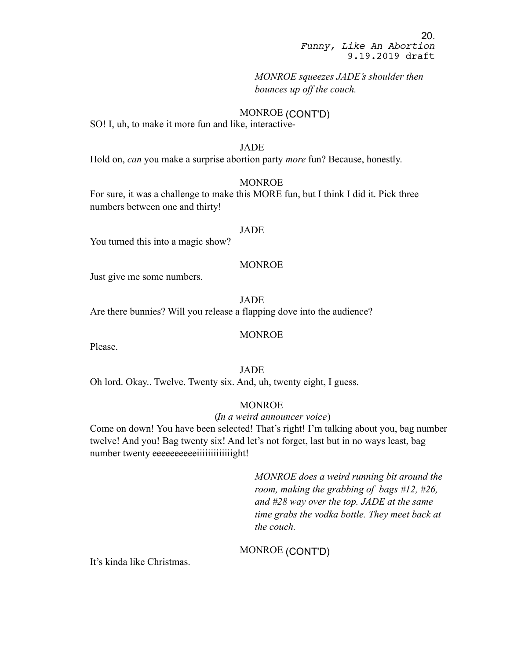*MONROE squeezes JADE's shoulder then bounces up off the couch.*

## MONROE (CONT'D)

SO! I, uh, to make it more fun and like, interactive-

#### JADE

Hold on, *can* you make a surprise abortion party *more* fun? Because, honestly.

#### MONROE

For sure, it was a challenge to make this MORE fun, but I think I did it. Pick three numbers between one and thirty!

#### JADE

You turned this into a magic show?

## MONROE

Just give me some numbers.

JADE

Are there bunnies? Will you release a flapping dove into the audience?

#### MONROE

Please.

## JADE

Oh lord. Okay.. Twelve. Twenty six. And, uh, twenty eight, I guess.

## **MONROE**

#### (*In a weird announcer voice*)

Come on down! You have been selected! That's right! I'm talking about you, bag number twelve! And you! Bag twenty six! And let's not forget, last but in no ways least, bag number twenty eeeeeeeeeeiiiiiiiiiiiiiiiight!

> *MONROE does a weird running bit around the room, making the grabbing of bags #12, #26, and #28 way over the top. JADE at the same time grabs the vodka bottle. They meet back at the couch.*

# MONROE (CONT'D)

It's kinda like Christmas.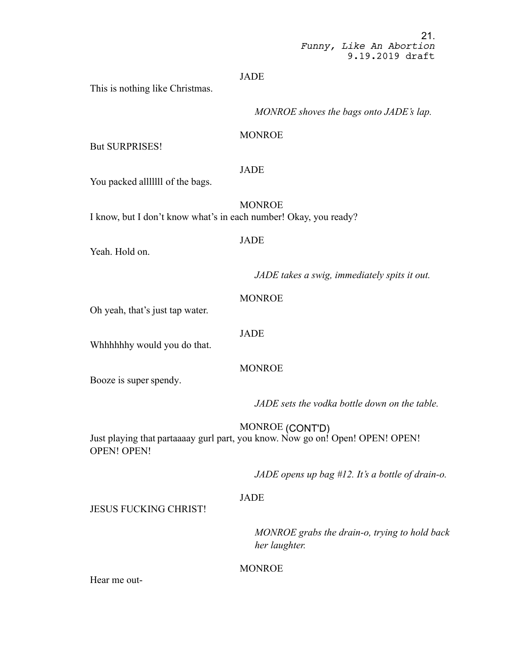# JADE

This is nothing like Christmas.

*MONROE shoves the bags onto JADE's lap.*

# **MONROE**

But SURPRISES!

## JADE

You packed alllllll of the bags.

MONROE I know, but I don't know what's in each number! Okay, you ready?

## JADE

Yeah. Hold on.

*JADE takes a swig, immediately spits it out.*

## MONROE

Oh yeah, that's just tap water.

#### JADE

Whhhhhhy would you do that.

Booze is super spendy.

# MONROE

*JADE sets the vodka bottle down on the table.*

MONROE (CONT'D)

Just playing that partaaaay gurl part, you know. Now go on! Open! OPEN! OPEN! OPEN! OPEN!

*JADE opens up bag #12. It's a bottle of drain-o.*

# JADE

JESUS FUCKING CHRIST!

*MONROE grabs the drain-o, trying to hold back her laughter.*

# MONROE

Hear me out-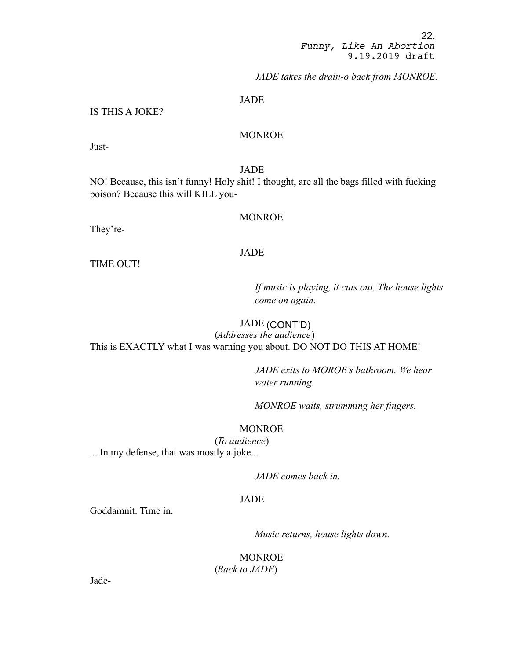*JADE takes the drain-o back from MONROE.*

#### JADE

# IS THIS A JOKE?

# MONROE

Just-

JADE

NO! Because, this isn't funny! Holy shit! I thought, are all the bags filled with fucking poison? Because this will KILL you-

#### MONROE

They're-

## JADE

TIME OUT!

*If music is playing, it cuts out. The house lights come on again.*

## JADE (CONT'D)

(*Addresses the audience*) This is EXACTLY what I was warning you about. DO NOT DO THIS AT HOME!

> *JADE exits to MOROE's bathroom. We hear water running.*

*MONROE waits, strumming her fingers.*

## **MONROE**

(*To audience*) ... In my defense, that was mostly a joke...

*JADE comes back in.*

## JADE

Goddamnit. Time in.

*Music returns, house lights down.*

MONROE (*Back to JADE*)

Jade-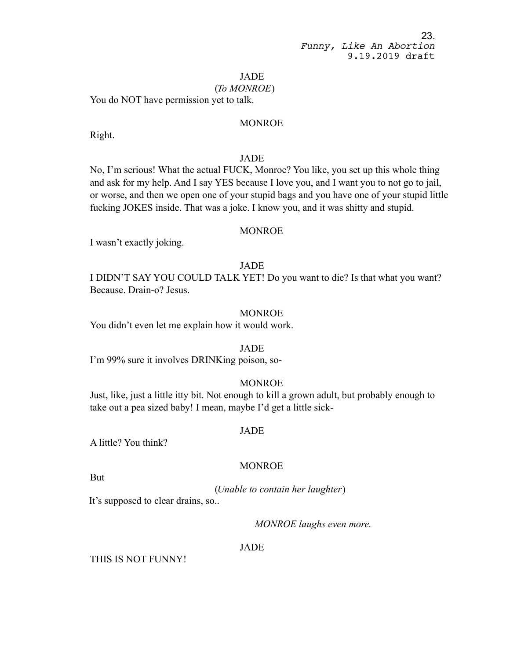JADE

#### (*To MONROE*)

You do NOT have permission yet to talk.

## MONROE

Right.

## JADE

No, I'm serious! What the actual FUCK, Monroe? You like, you set up this whole thing and ask for my help. And I say YES because I love you, and I want you to not go to jail, or worse, and then we open one of your stupid bags and you have one of your stupid little fucking JOKES inside. That was a joke. I know you, and it was shitty and stupid.

## MONROE

I wasn't exactly joking.

#### JADE

I DIDN'T SAY YOU COULD TALK YET! Do you want to die? Is that what you want? Because. Drain-o? Jesus.

## MONROE

You didn't even let me explain how it would work.

#### JADE

I'm 99% sure it involves DRINKing poison, so-

## MONROE

Just, like, just a little itty bit. Not enough to kill a grown adult, but probably enough to take out a pea sized baby! I mean, maybe I'd get a little sick-

#### JADE

A little? You think?

## MONROE

But

(*Unable to contain her laughter*)

It's supposed to clear drains, so..

*MONROE laughs even more.*

# JADE

THIS IS NOT FUNNY!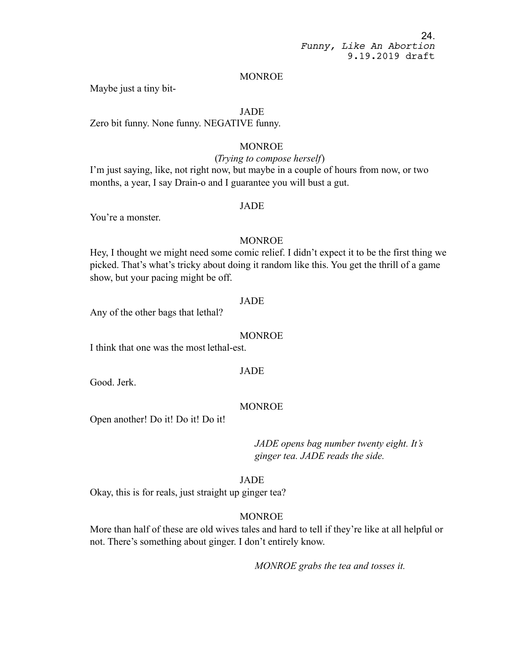#### MONROE

Maybe just a tiny bit-

## JADE

Zero bit funny. None funny. NEGATIVE funny.

# MONROE

#### (*Trying to compose herself*)

I'm just saying, like, not right now, but maybe in a couple of hours from now, or two months, a year, I say Drain-o and I guarantee you will bust a gut.

## JADE

You're a monster.

#### MONROE

Hey, I thought we might need some comic relief. I didn't expect it to be the first thing we picked. That's what's tricky about doing it random like this. You get the thrill of a game show, but your pacing might be off.

#### JADE

Any of the other bags that lethal?

#### MONROE

I think that one was the most lethal-est.

## JADE

Good. Jerk.

#### MONROE

Open another! Do it! Do it! Do it!

*JADE opens bag number twenty eight. It's ginger tea. JADE reads the side.*

#### JADE

Okay, this is for reals, just straight up ginger tea?

#### MONROE

More than half of these are old wives tales and hard to tell if they're like at all helpful or not. There's something about ginger. I don't entirely know.

*MONROE grabs the tea and tosses it.*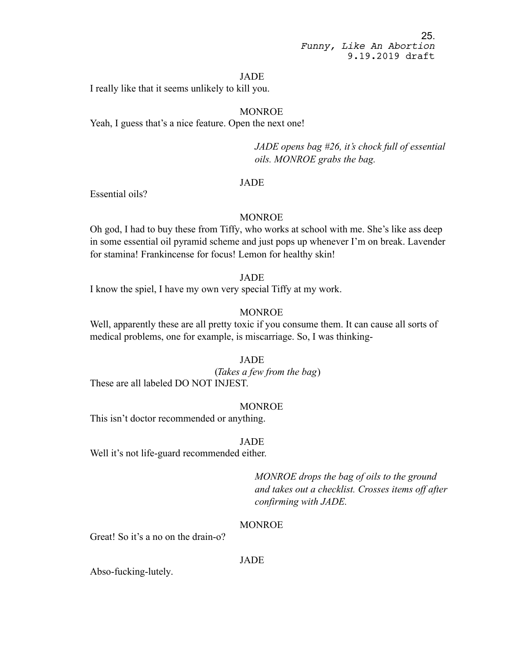#### JADE

I really like that it seems unlikely to kill you.

# MONROE

Yeah, I guess that's a nice feature. Open the next one!

*JADE opens bag #26, it's chock full of essential oils. MONROE grabs the bag.*

## JADE

Essential oils?

## MONROE

Oh god, I had to buy these from Tiffy, who works at school with me. She's like ass deep in some essential oil pyramid scheme and just pops up whenever I'm on break. Lavender for stamina! Frankincense for focus! Lemon for healthy skin!

#### JADE

I know the spiel, I have my own very special Tiffy at my work.

#### MONROE

Well, apparently these are all pretty toxic if you consume them. It can cause all sorts of medical problems, one for example, is miscarriage. So, I was thinking-

## JADE

(*Takes a few from the bag*) These are all labeled DO NOT INJEST.

#### MONROE

This isn't doctor recommended or anything.

### JADE

Well it's not life-guard recommended either.

*MONROE drops the bag of oils to the ground and takes out a checklist. Crosses items off after confirming with JADE.*

## MONROE

Great! So it's a no on the drain-o?

#### JADE

Abso-fucking-lutely.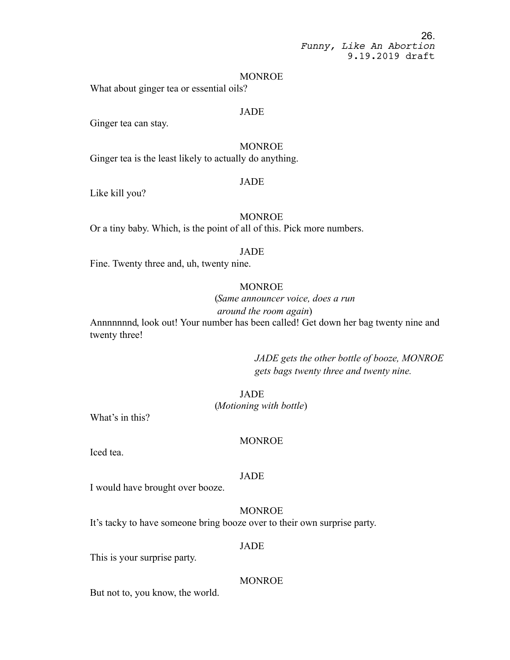#### MONROE

What about ginger tea or essential oils?

# JADE

Ginger tea can stay.

# MONROE

Ginger tea is the least likely to actually do anything.

#### JADE

Like kill you?

## **MONROE**

Or a tiny baby. Which, is the point of all of this. Pick more numbers.

#### JADE

Fine. Twenty three and, uh, twenty nine.

#### MONROE

(*Same announcer voice, does a run* 

*around the room again*)

Annnnnnnd, look out! Your number has been called! Get down her bag twenty nine and twenty three!

> *JADE gets the other bottle of booze, MONROE gets bags twenty three and twenty nine.*

## **JADE**

(*Motioning with bottle*)

What's in this?

#### MONROE

Iced tea.

#### JADE

I would have brought over booze.

MONROE It's tacky to have someone bring booze over to their own surprise party.

#### JADE

This is your surprise party.

#### MONROE

But not to, you know, the world.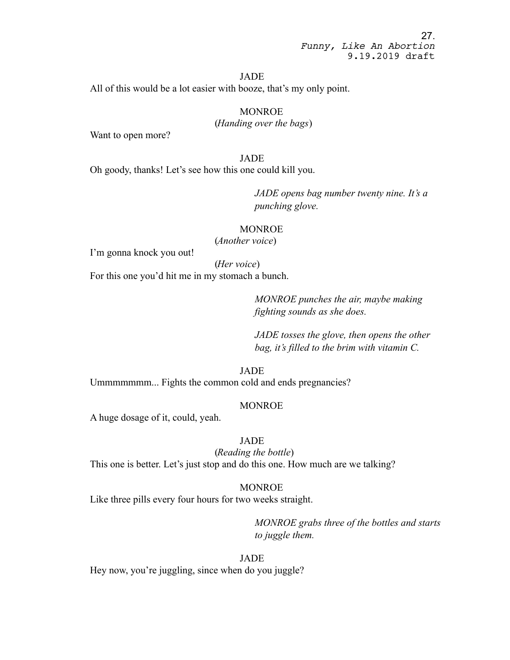#### JADE

All of this would be a lot easier with booze, that's my only point.

**MONROE** 

(*Handing over the bags*)

Want to open more?

#### JADE

Oh goody, thanks! Let's see how this one could kill you.

*JADE opens bag number twenty nine. It's a punching glove.*

## **MONROE**

(*Another voice*)

I'm gonna knock you out!

(*Her voice*)

For this one you'd hit me in my stomach a bunch.

*MONROE punches the air, maybe making fighting sounds as she does.*

*JADE tosses the glove, then opens the other bag, it's filled to the brim with vitamin C.*

JADE

Ummmmmmm... Fights the common cold and ends pregnancies?

#### MONROE

A huge dosage of it, could, yeah.

# JADE

(*Reading the bottle*) This one is better. Let's just stop and do this one. How much are we talking?

#### MONROE

Like three pills every four hours for two weeks straight.

*MONROE grabs three of the bottles and starts to juggle them.*

## JADE

Hey now, you're juggling, since when do you juggle?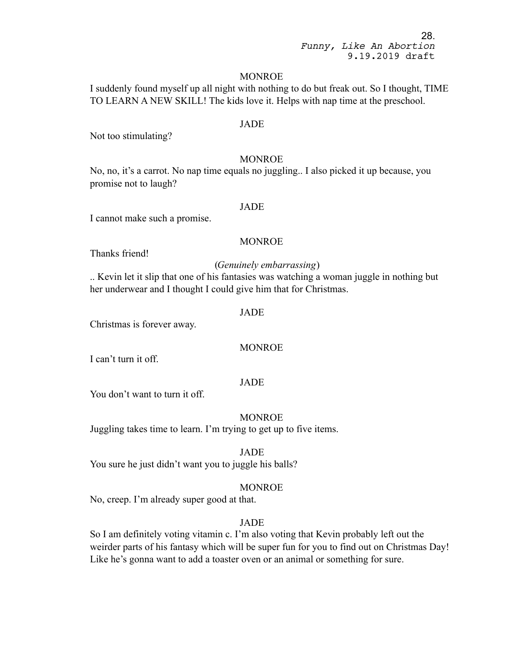#### MONROE

I suddenly found myself up all night with nothing to do but freak out. So I thought, TIME TO LEARN A NEW SKILL! The kids love it. Helps with nap time at the preschool.

#### JADE

Not too stimulating?

#### MONROE

No, no, it's a carrot. No nap time equals no juggling.. I also picked it up because, you promise not to laugh?

## JADE

I cannot make such a promise.

#### MONROE

Thanks friend!

#### (*Genuinely embarrassing*)

.. Kevin let it slip that one of his fantasies was watching a woman juggle in nothing but her underwear and I thought I could give him that for Christmas.

#### JADE

Christmas is forever away.

#### MONROE

I can't turn it off.

#### JADE

You don't want to turn it off.

MONROE

Juggling takes time to learn. I'm trying to get up to five items.

#### JADE

You sure he just didn't want you to juggle his balls?

#### MONROE

No, creep. I'm already super good at that.

# JADE

So I am definitely voting vitamin c. I'm also voting that Kevin probably left out the weirder parts of his fantasy which will be super fun for you to find out on Christmas Day! Like he's gonna want to add a toaster oven or an animal or something for sure.

28.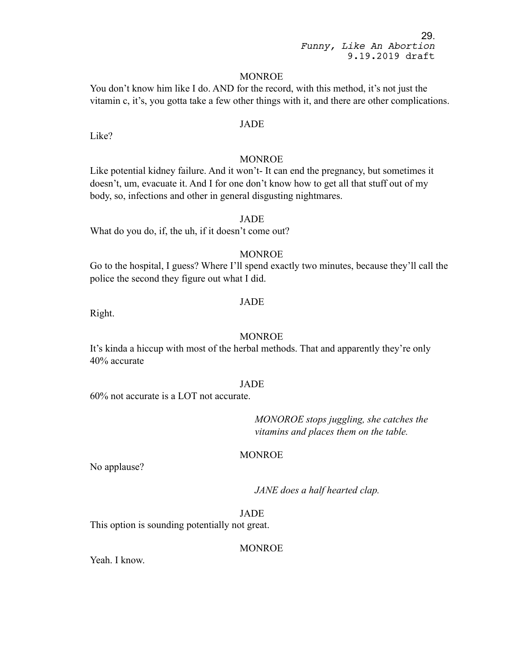#### MONROE

You don't know him like I do. AND for the record, with this method, it's not just the vitamin c, it's, you gotta take a few other things with it, and there are other complications.

## JADE

Like?

## MONROE

Like potential kidney failure. And it won't- It can end the pregnancy, but sometimes it doesn't, um, evacuate it. And I for one don't know how to get all that stuff out of my body, so, infections and other in general disgusting nightmares.

#### JADE

What do you do, if, the uh, if it doesn't come out?

# **MONROE**

Go to the hospital, I guess? Where I'll spend exactly two minutes, because they'll call the police the second they figure out what I did.

#### JADE

Right.

# **MONROE**

It's kinda a hiccup with most of the herbal methods. That and apparently they're only 40% accurate

#### JADE

60% not accurate is a LOT not accurate.

*MONOROE stops juggling, she catches the vitamins and places them on the table.*

## **MONROE**

No applause?

*JANE does a half hearted clap.*

JADE This option is sounding potentially not great.

## MONROE

Yeah. I know.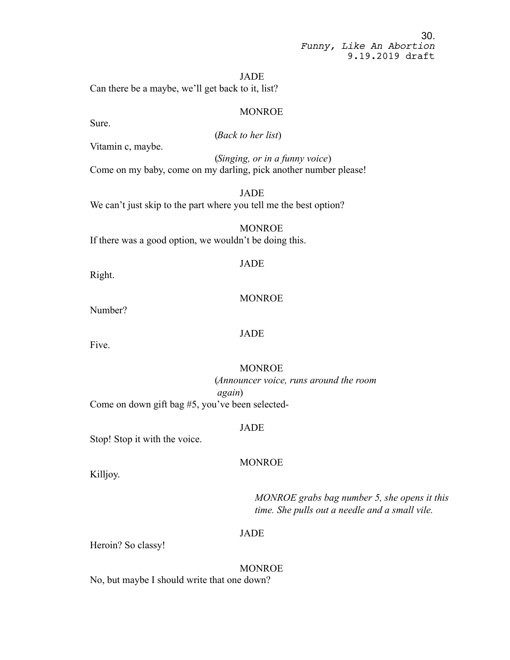JADE

Can there be a maybe, we'll get back to it, list?

### MONROE

Sure.

(*Back to her list*)

Vitamin c, maybe.

(*Singing, or in a funny voice*) Come on my baby, come on my darling, pick another number please!

JADE We can't just skip to the part where you tell me the best option?

MONROE If there was a good option, we wouldn't be doing this.

## JADE

Right.

## MONROE

Number?

#### JADE

Five.

## MONROE

(*Announcer voice, runs around the room again*)

Come on down gift bag #5, you've been selected-

#### JADE

Stop! Stop it with the voice.

#### MONROE

Killjoy.

*MONROE grabs bag number 5, she opens it this time. She pulls out a needle and a small vile.*

# JADE

Heroin? So classy!

MONROE No, but maybe I should write that one down?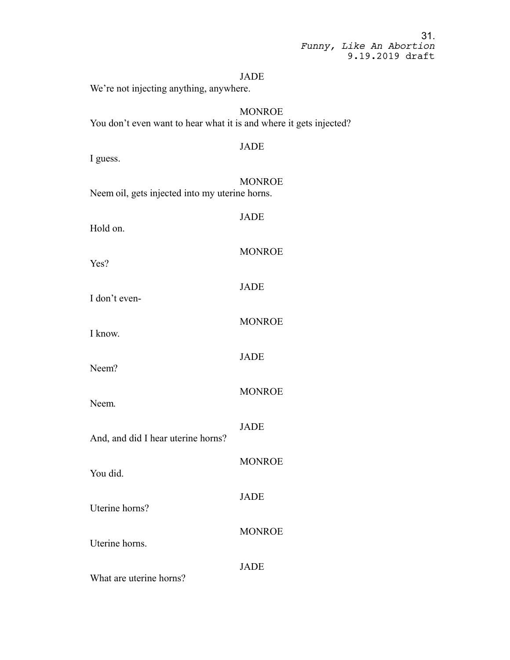|                         |  | 31.             |
|-------------------------|--|-----------------|
| Funny, Like An Abortion |  |                 |
|                         |  | 9.19.2019 draft |

#### JADE

We're not injecting anything, anywhere.

**MONROE** You don't even want to hear what it is and where it gets injected?

# JADE I guess. MONROE Neem oil, gets injected into my uterine horns.

Hold on.

JADE

MONROE

JADE

JADE

JADE

JADE

MONROE

**MONROE** 

MONROE

MONROE

Yes?

I don't even-

I know.

Neem?

Neem.

And, and did I hear uterine horns?

You did.

Uterine horns?

Uterine horns.

JADE

What are uterine horns?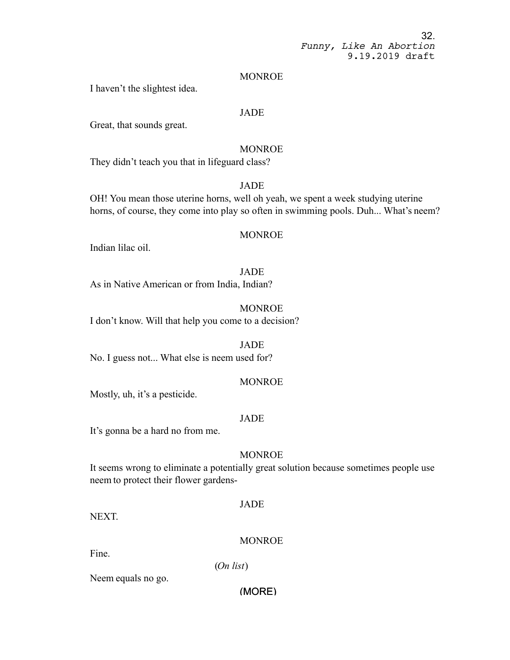#### MONROE

I haven't the slightest idea.

## JADE

Great, that sounds great.

## MONROE

They didn't teach you that in lifeguard class?

# JADE

OH! You mean those uterine horns, well oh yeah, we spent a week studying uterine horns, of course, they come into play so often in swimming pools. Duh... What's neem?

## **MONROE**

Indian lilac oil.

#### **JADE**

As in Native American or from India, Indian?

## MONROE

I don't know. Will that help you come to a decision?

# **JADE**

No. I guess not... What else is neem used for?

## **MONROE**

Mostly, uh, it's a pesticide.

## JADE

It's gonna be a hard no from me.

#### **MONROE**

It seems wrong to eliminate a potentially great solution because sometimes people use neem to protect their flower gardens-

### JADE

NEXT.

## MONROE

Fine.

(*On list*)

Neem equals no go.

## (MORE)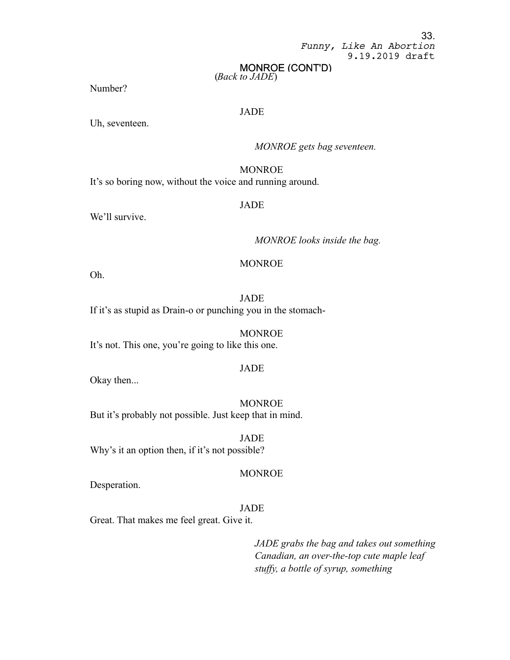# MONROE (CONT'D)

(*Back to JADE*)

Number?

# **JADE**

Uh, seventeen.

## *MONROE gets bag seventeen.*

# **MONROE**

It's so boring now, without the voice and running around.

## JADE

We'll survive.

*MONROE looks inside the bag.*

## MONROE

Oh.

JADE If it's as stupid as Drain-o or punching you in the stomach-

MONROE It's not. This one, you're going to like this one.

#### JADE

Okay then...

MONROE But it's probably not possible. Just keep that in mind.

JADE Why's it an option then, if it's not possible?

#### MONROE

Desperation.

# JADE

Great. That makes me feel great. Give it.

*JADE grabs the bag and takes out something Canadian, an over-the-top cute maple leaf stuffy, a bottle of syrup, something*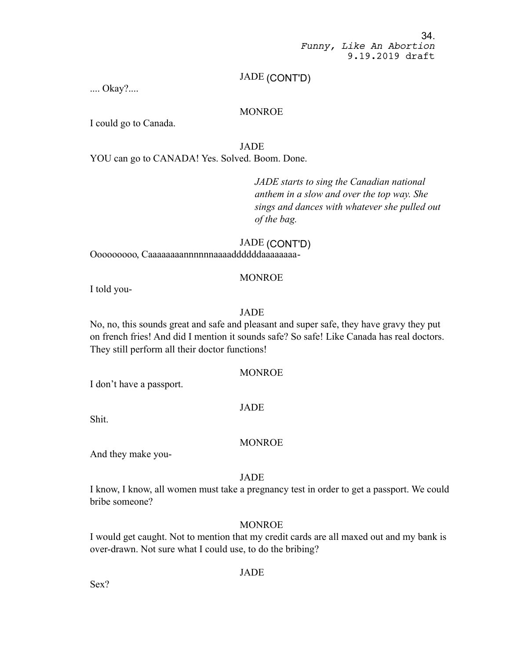# JADE (CONT'D)

.... Okay?....

# **MONROE**

I could go to Canada.

JADE

YOU can go to CANADA! Yes. Solved. Boom. Done.

*JADE starts to sing the Canadian national anthem in a slow and over the top way. She sings and dances with whatever she pulled out of the bag.*

JADE (CONT'D) Ooooooooo, Caaaaaaaannnnnnaaaaddddddaaaaaaaa-

# MONROE

I told you-

# JADE

No, no, this sounds great and safe and pleasant and super safe, they have gravy they put on french fries! And did I mention it sounds safe? So safe! Like Canada has real doctors. They still perform all their doctor functions!

## MONROE

I don't have a passport.

## JADE

Shit.

## MONROE

And they make you-

## JADE

I know, I know, all women must take a pregnancy test in order to get a passport. We could bribe someone?

# MONROE

I would get caught. Not to mention that my credit cards are all maxed out and my bank is over-drawn. Not sure what I could use, to do the bribing?

# JADE

Sex?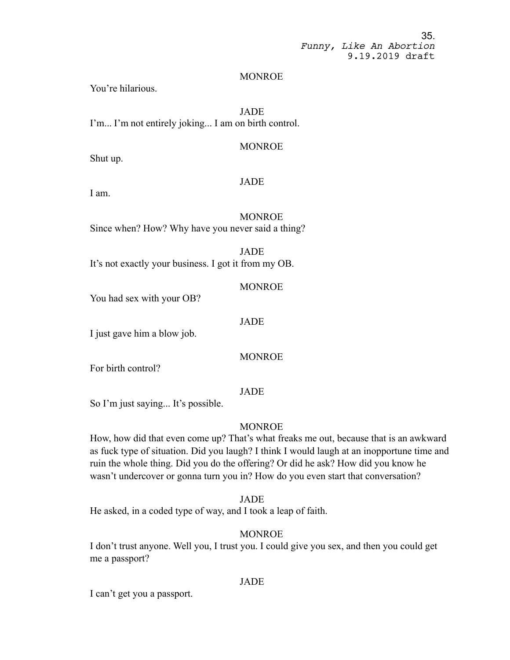#### MONROE

You're hilarious.

JADE I'm... I'm not entirely joking... I am on birth control.

# MONROE

Shut up.

## JADE

I am.

**MONROE** 

Since when? How? Why have you never said a thing?

JADE It's not exactly your business. I got it from my OB.

MONROE

You had sex with your OB?

## JADE

I just gave him a blow job.

## MONROE

For birth control?

#### JADE

So I'm just saying... It's possible.

# MONROE

How, how did that even come up? That's what freaks me out, because that is an awkward as fuck type of situation. Did you laugh? I think I would laugh at an inopportune time and ruin the whole thing. Did you do the offering? Or did he ask? How did you know he wasn't undercover or gonna turn you in? How do you even start that conversation?

## JADE

He asked, in a coded type of way, and I took a leap of faith.

## MONROE

I don't trust anyone. Well you, I trust you. I could give you sex, and then you could get me a passport?

## JADE

I can't get you a passport.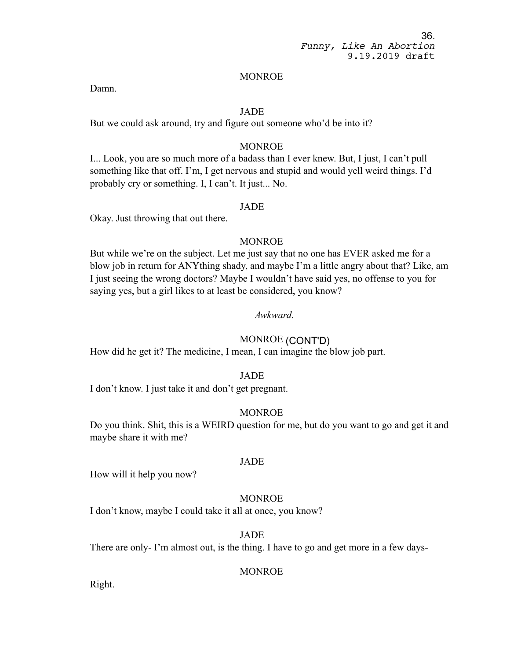#### MONROE

Damn.

# JADE

But we could ask around, try and figure out someone who'd be into it?

# **MONROE**

I... Look, you are so much more of a badass than I ever knew. But, I just, I can't pull something like that off. I'm, I get nervous and stupid and would yell weird things. I'd probably cry or something. I, I can't. It just... No.

# JADE

Okay. Just throwing that out there.

### MONROE

But while we're on the subject. Let me just say that no one has EVER asked me for a blow job in return for ANYthing shady, and maybe I'm a little angry about that? Like, am I just seeing the wrong doctors? Maybe I wouldn't have said yes, no offense to you for saying yes, but a girl likes to at least be considered, you know?

# *Awkward.*

# MONROE (CONT'D)

How did he get it? The medicine, I mean, I can imagine the blow job part.

#### JADE

I don't know. I just take it and don't get pregnant.

# **MONROE**

Do you think. Shit, this is a WEIRD question for me, but do you want to go and get it and maybe share it with me?

#### JADE

How will it help you now?

# MONROE

I don't know, maybe I could take it all at once, you know?

# JADE

There are only- I'm almost out, is the thing. I have to go and get more in a few days-

# MONROE

Right.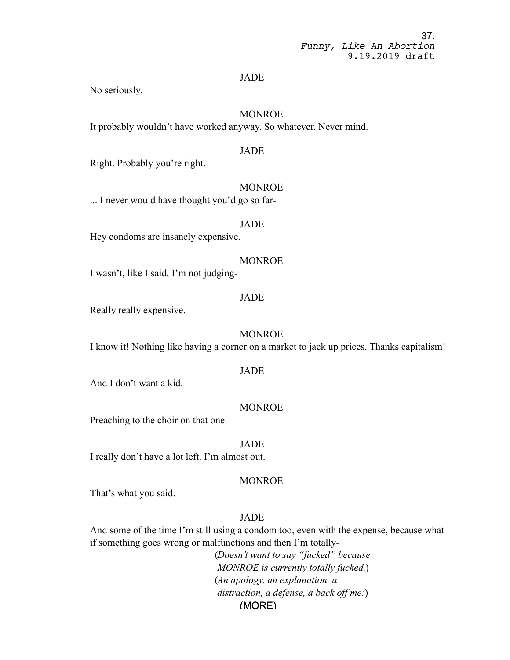#### JADE

No seriously.

# MONROE

It probably wouldn't have worked anyway. So whatever. Never mind.

### JADE

Right. Probably you're right.

#### MONROE

... I never would have thought you'd go so far-

#### JADE

Hey condoms are insanely expensive.

#### MONROE

I wasn't, like I said, I'm not judging-

### JADE

Really really expensive.

#### MONROE

I know it! Nothing like having a corner on a market to jack up prices. Thanks capitalism!

# JADE

And I don't want a kid.

#### MONROE

Preaching to the choir on that one.

#### JADE

I really don't have a lot left. I'm almost out.

### MONROE

That's what you said.

# JADE

And some of the time I'm still using a condom too, even with the expense, because what if something goes wrong or malfunctions and then I'm totally-

> (MORE) (*Doesn't want to say "fucked" because MONROE is currently totally fucked.*) (*An apology, an explanation, a distraction, a defense, a back off me:*)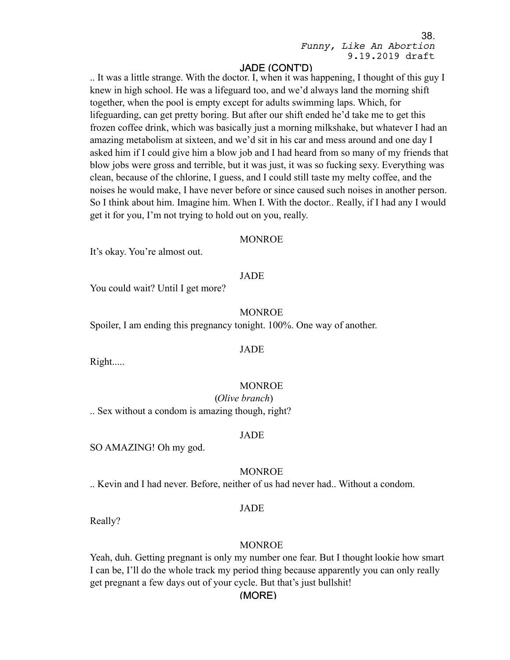# JADE (CONT'D)

.. It was a little strange. With the doctor. I, when it was happening, I thought of this guy I knew in high school. He was a lifeguard too, and we'd always land the morning shift together, when the pool is empty except for adults swimming laps. Which, for lifeguarding, can get pretty boring. But after our shift ended he'd take me to get this frozen coffee drink, which was basically just a morning milkshake, but whatever I had an amazing metabolism at sixteen, and we'd sit in his car and mess around and one day I asked him if I could give him a blow job and I had heard from so many of my friends that blow jobs were gross and terrible, but it was just, it was so fucking sexy. Everything was clean, because of the chlorine, I guess, and I could still taste my melty coffee, and the noises he would make, I have never before or since caused such noises in another person. So I think about him. Imagine him. When I. With the doctor.. Really, if I had any I would get it for you, I'm not trying to hold out on you, really.

#### MONROE

It's okay. You're almost out.

# JADE

You could wait? Until I get more?

#### MONROE

Spoiler, I am ending this pregnancy tonight. 100%. One way of another.

#### JADE

Right.....

#### MONROE

(*Olive branch*) .. Sex without a condom is amazing though, right?

#### JADE

SO AMAZING! Oh my god.

#### MONROE

.. Kevin and I had never. Before, neither of us had never had.. Without a condom.

# JADE

Really?

#### MONROE

Yeah, duh. Getting pregnant is only my number one fear. But I thought lookie how smart I can be, I'll do the whole track my period thing because apparently you can only really get pregnant a few days out of your cycle. But that's just bullshit!

# (MORE)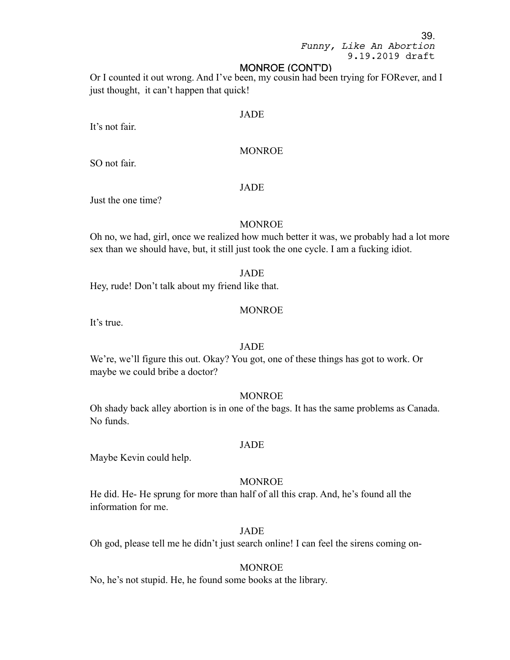### MONROE (CONT'D)

Or I counted it out wrong. And I've been, my cousin had been trying for FORever, and I just thought, it can't happen that quick!

#### JADE

It's not fair.

# MONROE

SO not fair.

#### JADE

Just the one time?

#### MONROE

Oh no, we had, girl, once we realized how much better it was, we probably had a lot more sex than we should have, but, it still just took the one cycle. I am a fucking idiot.

#### JADE

Hey, rude! Don't talk about my friend like that.

#### MONROE

It's true.

### JADE

We're, we'll figure this out. Okay? You got, one of these things has got to work. Or maybe we could bribe a doctor?

#### MONROE

Oh shady back alley abortion is in one of the bags. It has the same problems as Canada. No funds.

#### JADE

Maybe Kevin could help.

# **MONROE**

He did. He- He sprung for more than half of all this crap. And, he's found all the information for me.

#### JADE

Oh god, please tell me he didn't just search online! I can feel the sirens coming on-

#### MONROE

No, he's not stupid. He, he found some books at the library.

39.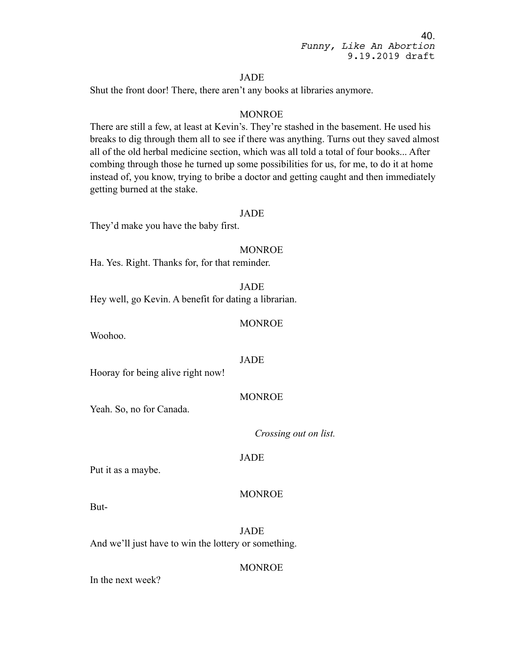# JADE

Shut the front door! There, there aren't any books at libraries anymore.

# MONROE

There are still a few, at least at Kevin's. They're stashed in the basement. He used his breaks to dig through them all to see if there was anything. Turns out they saved almost all of the old herbal medicine section, which was all told a total of four books... After combing through those he turned up some possibilities for us, for me, to do it at home instead of, you know, trying to bribe a doctor and getting caught and then immediately getting burned at the stake.

#### JADE

They'd make you have the baby first.

# **MONROE**

Ha. Yes. Right. Thanks for, for that reminder.

JADE

Hey well, go Kevin. A benefit for dating a librarian.

#### MONROE

Woohoo.

### JADE

Hooray for being alive right now!

#### MONROE

Yeah. So, no for Canada.

*Crossing out on list.*

#### JADE

Put it as a maybe.

#### MONROE

But-

JADE And we'll just have to win the lottery or something.

#### MONROE

In the next week?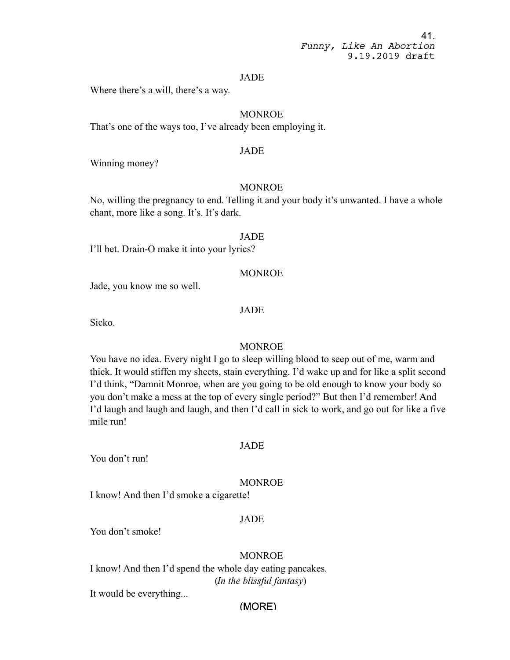#### JADE

Where there's a will, there's a way.

# MONROE

That's one of the ways too, I've already been employing it.

# JADE

Winning money?

### MONROE

No, willing the pregnancy to end. Telling it and your body it's unwanted. I have a whole chant, more like a song. It's. It's dark.

# JADE

I'll bet. Drain-O make it into your lyrics?

#### MONROE

Jade, you know me so well.

#### JADE

Sicko.

# MONROE

You have no idea. Every night I go to sleep willing blood to seep out of me, warm and thick. It would stiffen my sheets, stain everything. I'd wake up and for like a split second I'd think, "Damnit Monroe, when are you going to be old enough to know your body so you don't make a mess at the top of every single period?" But then I'd remember! And I'd laugh and laugh and laugh, and then I'd call in sick to work, and go out for like a five mile run!

#### JADE

You don't run!

#### MONROE

I know! And then I'd smoke a cigarette!

#### JADE

You don't smoke!

#### MONROE

I know! And then I'd spend the whole day eating pancakes. (*In the blissful fantasy*)

It would be everything...

# (MORE)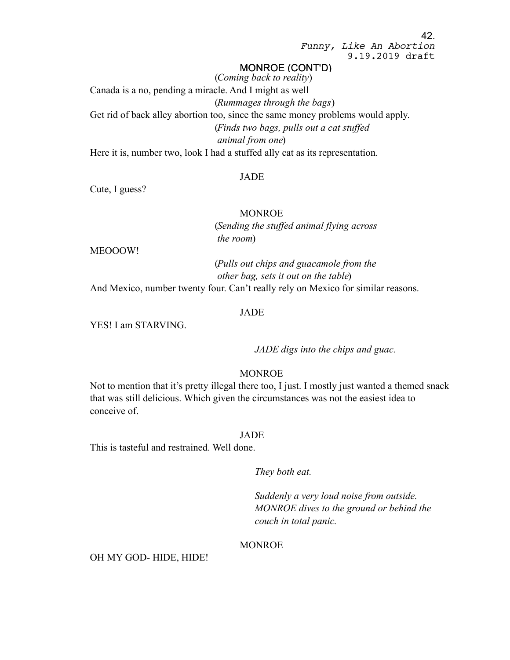# MONROE (CONT'D)

(*Coming back to reality*) Canada is a no, pending a miracle. And I might as well (*Rummages through the bags*) Get rid of back alley abortion too, since the same money problems would apply. (*Finds two bags, pulls out a cat stuffed animal from one*) Here it is, number two, look I had a stuffed ally cat as its representation.

#### JADE

Cute, I guess?

MONROE (*Sending the stuffed animal flying across the room*)

MEOOOW!

(*Pulls out chips and guacamole from the other bag, sets it out on the table*) And Mexico, number twenty four. Can't really rely on Mexico for similar reasons.

#### JADE

YES! I am STARVING.

*JADE digs into the chips and guac.*

# MONROE

Not to mention that it's pretty illegal there too, I just. I mostly just wanted a themed snack that was still delicious. Which given the circumstances was not the easiest idea to conceive of.

#### JADE

This is tasteful and restrained. Well done.

*They both eat.*

*Suddenly a very loud noise from outside. MONROE dives to the ground or behind the couch in total panic.*

#### MONROE

#### OH MY GOD- HIDE, HIDE!

42.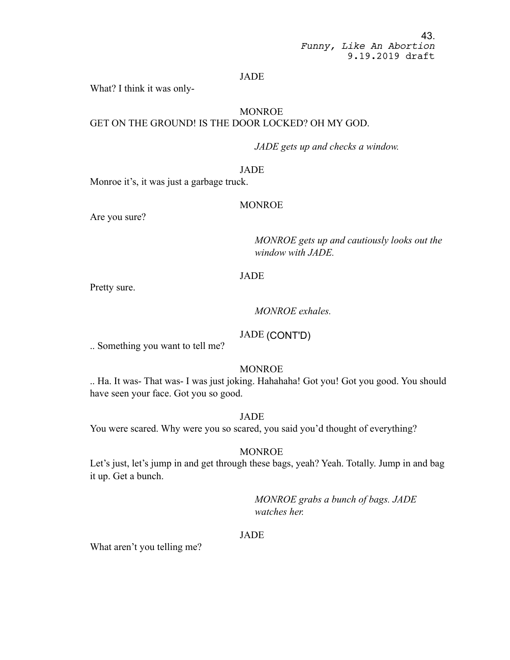# JADE

What? I think it was only-

# **MONROE** GET ON THE GROUND! IS THE DOOR LOCKED? OH MY GOD.

*JADE gets up and checks a window.*

# JADE

Monroe it's, it was just a garbage truck.

### MONROE

Are you sure?

*MONROE gets up and cautiously looks out the window with JADE.*

# JADE

Pretty sure.

# *MONROE exhales.*

# JADE (CONT'D)

.. Something you want to tell me?

# **MONROE**

.. Ha. It was- That was- I was just joking. Hahahaha! Got you! Got you good. You should have seen your face. Got you so good.

JADE

You were scared. Why were you so scared, you said you'd thought of everything?

#### MONROE

Let's just, let's jump in and get through these bags, yeah? Yeah. Totally. Jump in and bag it up. Get a bunch.

> *MONROE grabs a bunch of bags. JADE watches her.*

### JADE

What aren't you telling me?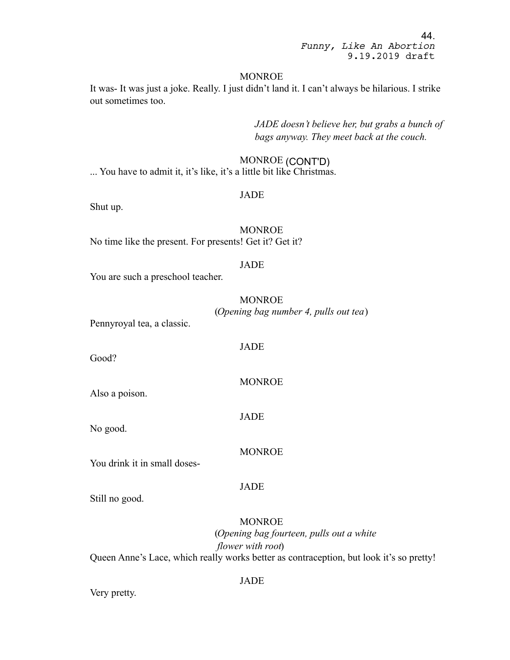#### MONROE

It was- It was just a joke. Really. I just didn't land it. I can't always be hilarious. I strike out sometimes too.

> *JADE doesn't believe her, but grabs a bunch of bags anyway. They meet back at the couch.*

# MONROE (CONT'D)

... You have to admit it, it's like, it's a little bit like Christmas.

# JADE

Shut up.

# **MONROE**

No time like the present. For presents! Get it? Get it?

# JADE

You are such a preschool teacher.

# MONROE (*Opening bag number 4, pulls out tea*)

Pennyroyal tea, a classic.

### JADE

Good?

# **MONROE**

Also a poison.

#### JADE

No good.

#### MONROE

You drink it in small doses-

#### JADE

Still no good.

# MONROE

(*Opening bag fourteen, pulls out a white flower with root*) Queen Anne's Lace, which really works better as contraception, but look it's so pretty!

Very pretty.

#### JADE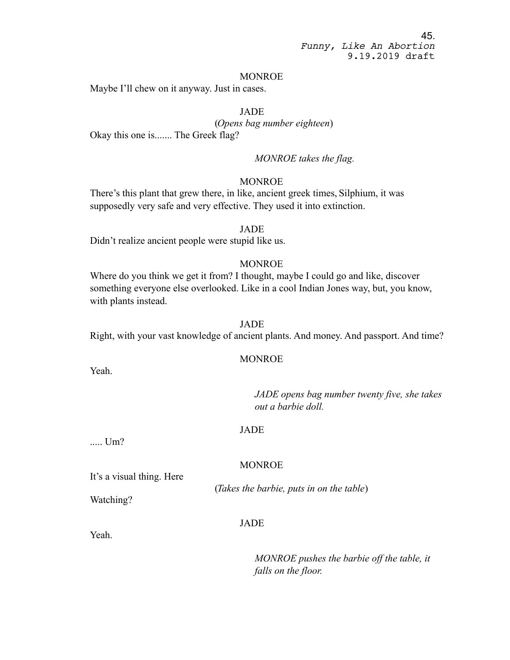#### MONROE

Maybe I'll chew on it anyway. Just in cases.

# JADE

(*Opens bag number eighteen*) Okay this one is....... The Greek flag?

*MONROE takes the flag.*

### MONROE

There's this plant that grew there, in like, ancient greek times, Silphium, it was supposedly very safe and very effective. They used it into extinction.

#### JADE

Didn't realize ancient people were stupid like us.

# MONROE

Where do you think we get it from? I thought, maybe I could go and like, discover something everyone else overlooked. Like in a cool Indian Jones way, but, you know, with plants instead.

#### JADE

Right, with your vast knowledge of ancient plants. And money. And passport. And time?

### MONROE

Yeah.

*JADE opens bag number twenty five, she takes out a barbie doll.*

#### JADE

MONROE

..... Um?

It's a visual thing. Here

Watching?

(*Takes the barbie, puts in on the table*)

### JADE

Yeah.

*MONROE pushes the barbie off the table, it falls on the floor.*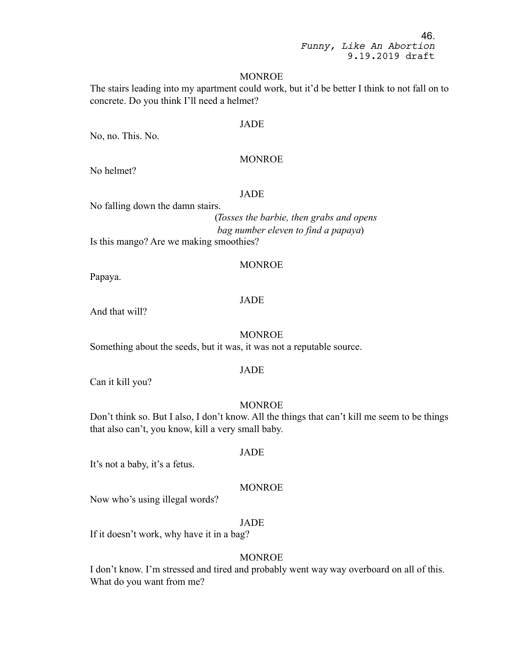#### MONROE

The stairs leading into my apartment could work, but it'd be better I think to not fall on to concrete. Do you think I'll need a helmet?

# JADE

No, no. This. No.

#### MONROE

No helmet?

# JADE

No falling down the damn stairs.

(*Tosses the barbie, then grabs and opens bag number eleven to find a papaya*)

Is this mango? Are we making smoothies?

# MONROE

Papaya.

# JADE

And that will?

#### MONROE

Something about the seeds, but it was, it was not a reputable source.

#### JADE

Can it kill you?

# **MONROE**

Don't think so. But I also, I don't know. All the things that can't kill me seem to be things that also can't, you know, kill a very small baby.

#### JADE

It's not a baby, it's a fetus.

# **MONROE**

Now who's using illegal words?

# JADE

If it doesn't work, why have it in a bag?

#### MONROE

I don't know. I'm stressed and tired and probably went way way overboard on all of this. What do you want from me?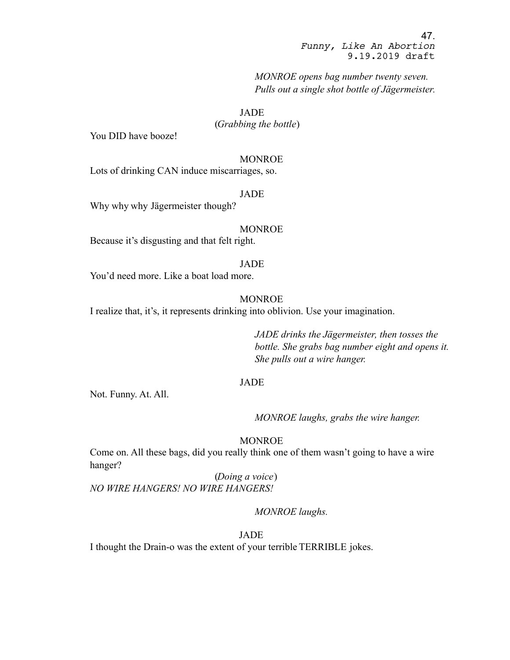*MONROE opens bag number twenty seven. Pulls out a single shot bottle of Jägermeister.*

JADE

(*Grabbing the bottle*)

You DID have booze!

#### MONROE

Lots of drinking CAN induce miscarriages, so.

JADE

Why why why Jägermeister though?

#### MONROE

Because it's disgusting and that felt right.

JADE

You'd need more. Like a boat load more.

#### MONROE

I realize that, it's, it represents drinking into oblivion. Use your imagination.

*JADE drinks the Jägermeister, then tosses the bottle. She grabs bag number eight and opens it. She pulls out a wire hanger.*

#### JADE

Not. Funny. At. All.

*MONROE laughs, grabs the wire hanger.*

# MONROE

Come on. All these bags, did you really think one of them wasn't going to have a wire hanger?

(*Doing a voice*) *NO WIRE HANGERS! NO WIRE HANGERS!*

#### *MONROE laughs.*

JADE

I thought the Drain-o was the extent of your terrible TERRIBLE jokes.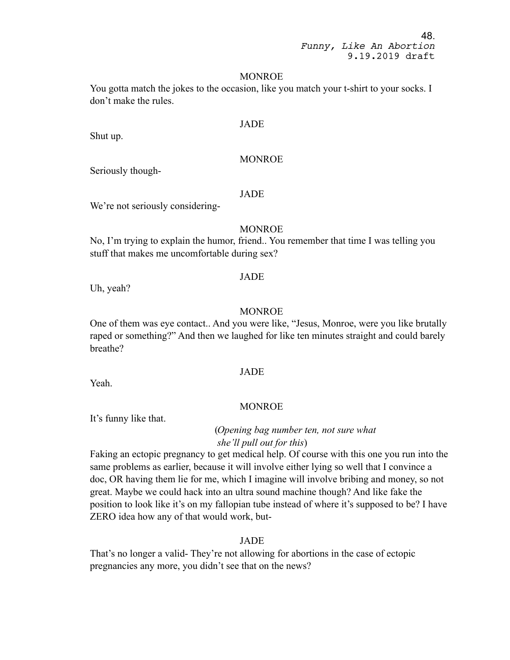#### MONROE

You gotta match the jokes to the occasion, like you match your t-shirt to your socks. I don't make the rules.

#### JADE

Shut up.

### MONROE

Seriously though-

# JADE

We're not seriously considering-

# MONROE

No, I'm trying to explain the humor, friend.. You remember that time I was telling you stuff that makes me uncomfortable during sex?

# JADE

Uh, yeah?

# **MONROE**

One of them was eye contact.. And you were like, "Jesus, Monroe, were you like brutally raped or something?" And then we laughed for like ten minutes straight and could barely breathe?

## JADE

Yeah.

#### MONROE

It's funny like that.

(*Opening bag number ten, not sure what she'll pull out for this*)

Faking an ectopic pregnancy to get medical help. Of course with this one you run into the same problems as earlier, because it will involve either lying so well that I convince a doc, OR having them lie for me, which I imagine will involve bribing and money, so not great. Maybe we could hack into an ultra sound machine though? And like fake the position to look like it's on my fallopian tube instead of where it's supposed to be? I have ZERO idea how any of that would work, but-

#### JADE

That's no longer a valid- They're not allowing for abortions in the case of ectopic pregnancies any more, you didn't see that on the news?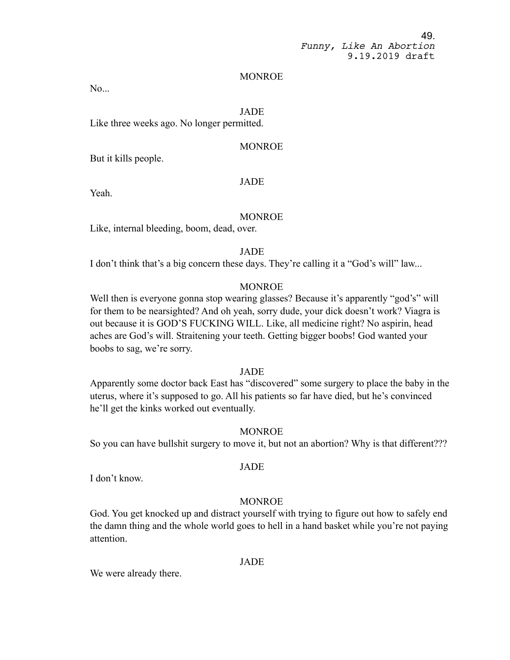#### MONROE

No...

# JADE

Like three weeks ago. No longer permitted.

### MONROE

But it kills people.

### JADE

Yeah.

#### MONROE

Like, internal bleeding, boom, dead, over.

JADE

I don't think that's a big concern these days. They're calling it a "God's will" law...

# MONROE

Well then is everyone gonna stop wearing glasses? Because it's apparently "god's" will for them to be nearsighted? And oh yeah, sorry dude, your dick doesn't work? Viagra is out because it is GOD'S FUCKING WILL. Like, all medicine right? No aspirin, head aches are God's will. Straitening your teeth. Getting bigger boobs! God wanted your boobs to sag, we're sorry.

# JADE

Apparently some doctor back East has "discovered" some surgery to place the baby in the uterus, where it's supposed to go. All his patients so far have died, but he's convinced he'll get the kinks worked out eventually.

# **MONROE**

So you can have bullshit surgery to move it, but not an abortion? Why is that different???

#### JADE

I don't know.

# **MONROE**

God. You get knocked up and distract yourself with trying to figure out how to safely end the damn thing and the whole world goes to hell in a hand basket while you're not paying attention.

#### JADE

We were already there.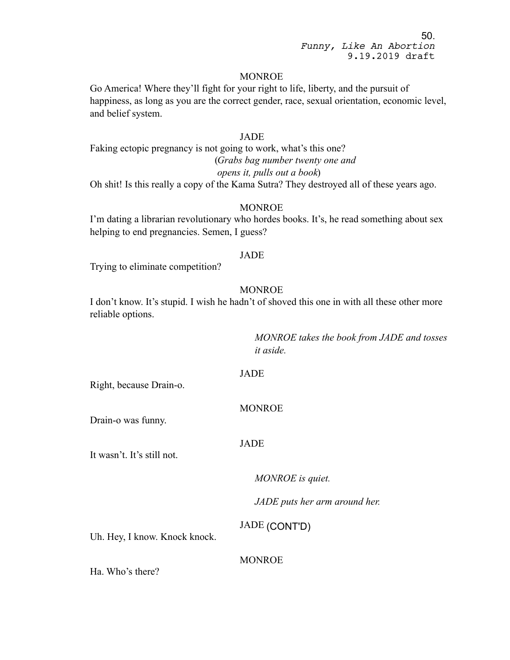### MONROE

Go America! Where they'll fight for your right to life, liberty, and the pursuit of happiness, as long as you are the correct gender, race, sexual orientation, economic level, and belief system.

# JADE

Faking ectopic pregnancy is not going to work, what's this one? (*Grabs bag number twenty one and opens it, pulls out a book*) Oh shit! Is this really a copy of the Kama Sutra? They destroyed all of these years ago.

#### MONROE

I'm dating a librarian revolutionary who hordes books. It's, he read something about sex helping to end pregnancies. Semen, I guess?

#### JADE

Trying to eliminate competition?

# **MONROE**

I don't know. It's stupid. I wish he hadn't of shoved this one in with all these other more reliable options.

> *MONROE takes the book from JADE and tosses it aside.*

JADE

Right, because Drain-o.

# MONROE

Drain-o was funny.

#### JADE

It wasn't. It's still not.

*MONROE is quiet.* 

*JADE puts her arm around her.*

JADE (CONT'D)

Uh. Hey, I know. Knock knock.

**MONROE** 

Ha. Who's there?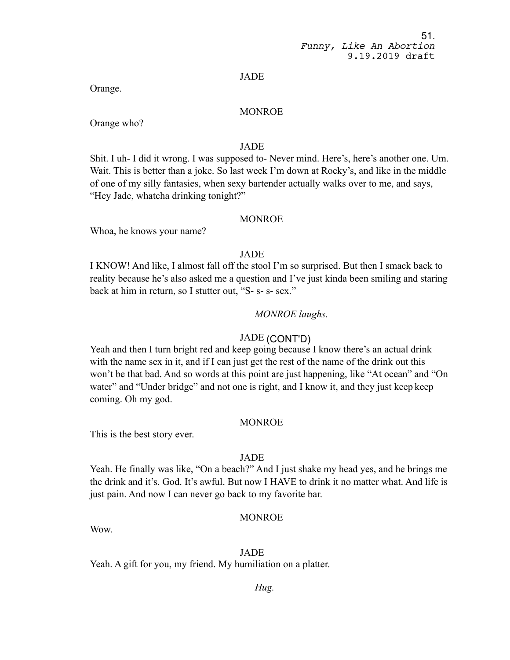#### JADE

Orange.

# MONROE

Orange who?

# JADE

Shit. I uh- I did it wrong. I was supposed to- Never mind. Here's, here's another one. Um. Wait. This is better than a joke. So last week I'm down at Rocky's, and like in the middle of one of my silly fantasies, when sexy bartender actually walks over to me, and says, "Hey Jade, whatcha drinking tonight?"

# MONROE

Whoa, he knows your name?

# JADE

I KNOW! And like, I almost fall off the stool I'm so surprised. But then I smack back to reality because he's also asked me a question and I've just kinda been smiling and staring back at him in return, so I stutter out, "S- s- s- sex."

# *MONROE laughs.*

# JADE (CONT'D)

Yeah and then I turn bright red and keep going because I know there's an actual drink with the name sex in it, and if I can just get the rest of the name of the drink out this won't be that bad. And so words at this point are just happening, like "At ocean" and "On water" and "Under bridge" and not one is right, and I know it, and they just keep keep coming. Oh my god.

# MONROE

This is the best story ever.

# JADE

Yeah. He finally was like, "On a beach?" And I just shake my head yes, and he brings me the drink and it's. God. It's awful. But now I HAVE to drink it no matter what. And life is just pain. And now I can never go back to my favorite bar.

# MONROE

Wow.

# JADE

Yeah. A gift for you, my friend. My humiliation on a platter.

# *Hug.*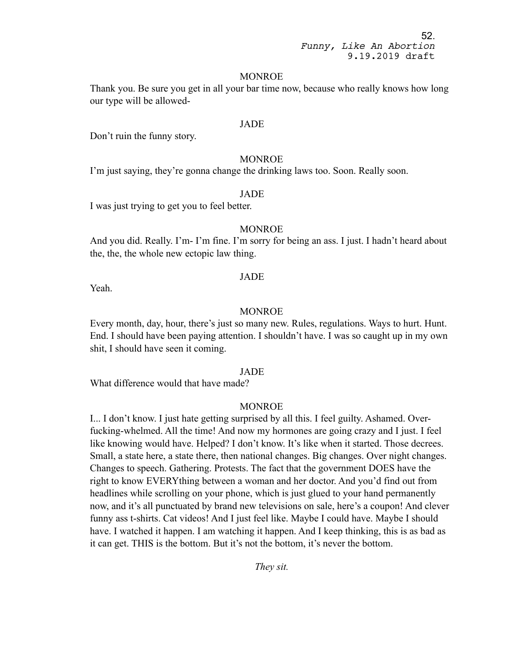#### MONROE

Thank you. Be sure you get in all your bar time now, because who really knows how long our type will be allowed-

### JADE

Don't ruin the funny story.

#### MONROE

I'm just saying, they're gonna change the drinking laws too. Soon. Really soon.

# JADE

I was just trying to get you to feel better.

# MONROE

And you did. Really. I'm- I'm fine. I'm sorry for being an ass. I just. I hadn't heard about the, the, the whole new ectopic law thing.

#### JADE

Yeah.

#### MONROE

Every month, day, hour, there's just so many new. Rules, regulations. Ways to hurt. Hunt. End. I should have been paying attention. I shouldn't have. I was so caught up in my own shit, I should have seen it coming.

## JADE

What difference would that have made?

#### MONROE

I... I don't know. I just hate getting surprised by all this. I feel guilty. Ashamed. Overfucking-whelmed. All the time! And now my hormones are going crazy and I just. I feel like knowing would have. Helped? I don't know. It's like when it started. Those decrees. Small, a state here, a state there, then national changes. Big changes. Over night changes. Changes to speech. Gathering. Protests. The fact that the government DOES have the right to know EVERYthing between a woman and her doctor. And you'd find out from headlines while scrolling on your phone, which is just glued to your hand permanently now, and it's all punctuated by brand new televisions on sale, here's a coupon! And clever funny ass t-shirts. Cat videos! And I just feel like. Maybe I could have. Maybe I should have. I watched it happen. I am watching it happen. And I keep thinking, this is as bad as it can get. THIS is the bottom. But it's not the bottom, it's never the bottom.

*They sit.*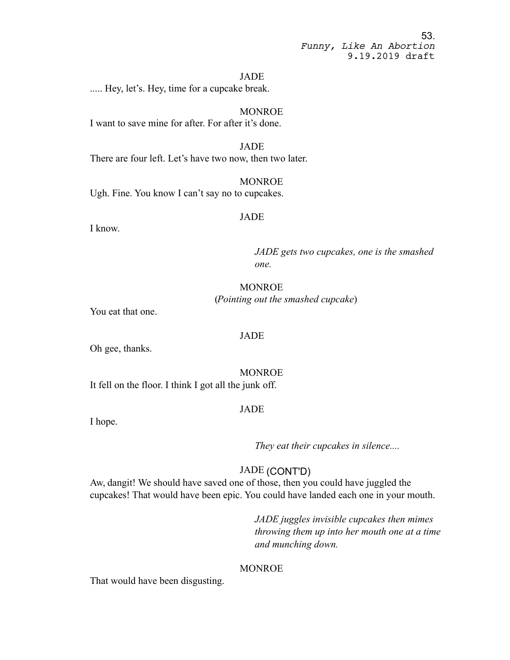#### JADE

..... Hey, let's. Hey, time for a cupcake break.

MONROE I want to save mine for after. For after it's done.

JADE There are four left. Let's have two now, then two later.

MONROE Ugh. Fine. You know I can't say no to cupcakes.

# JADE

I know.

*JADE gets two cupcakes, one is the smashed one.* 

# **MONROE** (*Pointing out the smashed cupcake*)

You eat that one.

# JADE

Oh gee, thanks.

MONROE It fell on the floor. I think I got all the junk off.

# JADE

I hope.

*They eat their cupcakes in silence....*

# JADE (CONT'D)

Aw, dangit! We should have saved one of those, then you could have juggled the cupcakes! That would have been epic. You could have landed each one in your mouth.

> *JADE juggles invisible cupcakes then mimes throwing them up into her mouth one at a time and munching down.*

# MONROE

That would have been disgusting.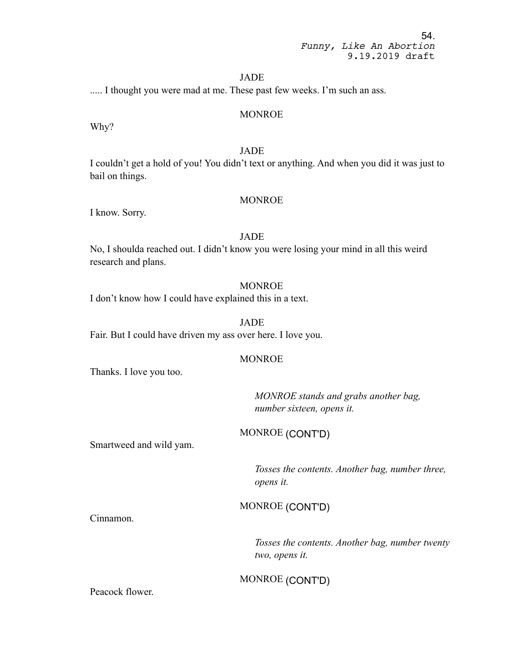#### JADE

..... I thought you were mad at me. These past few weeks. I'm such an ass.

#### MONROE

Why?

# JADE

I couldn't get a hold of you! You didn't text or anything. And when you did it was just to bail on things.

#### MONROE

I know. Sorry.

#### JADE

No, I shoulda reached out. I didn't know you were losing your mind in all this weird research and plans.

# MONROE

I don't know how I could have explained this in a text.

### JADE

Fair. But I could have driven my ass over here. I love you.

### **MONROE**

Thanks. I love you too.

*MONROE stands and grabs another bag, number sixteen, opens it.*

MONROE (CONT'D)

Smartweed and wild yam.

*Tosses the contents. Another bag, number three, opens it.*

MONROE (CONT'D)

Cinnamon.

*Tosses the contents. Another bag, number twenty two, opens it.*

# MONROE (CONT'D)

Peacock flower.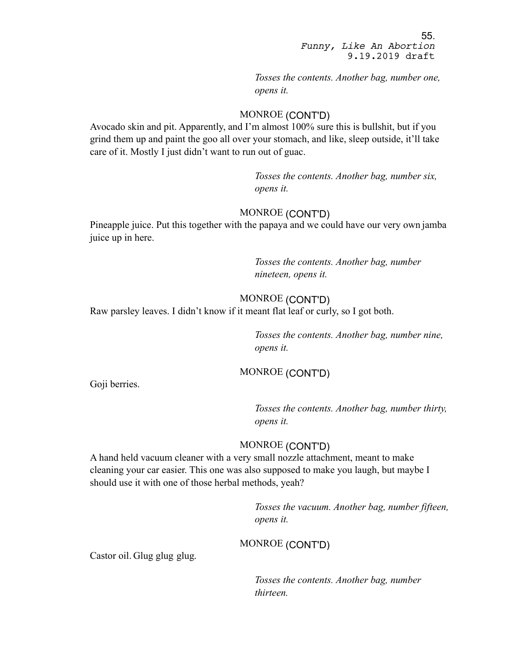*Tosses the contents. Another bag, number one, opens it.*

# MONROE (CONT'D)

Avocado skin and pit. Apparently, and I'm almost 100% sure this is bullshit, but if you grind them up and paint the goo all over your stomach, and like, sleep outside, it'll take care of it. Mostly I just didn't want to run out of guac.

> *Tosses the contents. Another bag, number six, opens it.*

# MONROE (CONT'D)

Pineapple juice. Put this together with the papaya and we could have our very own jamba juice up in here.

> *Tosses the contents. Another bag, number nineteen, opens it.*

# MONROE (CONT'D)

Raw parsley leaves. I didn't know if it meant flat leaf or curly, so I got both.

*Tosses the contents. Another bag, number nine, opens it.*

# MONROE (CONT'D)

Goji berries.

*Tosses the contents. Another bag, number thirty, opens it.*

# MONROE (CONT'D)

A hand held vacuum cleaner with a very small nozzle attachment, meant to make cleaning your car easier. This one was also supposed to make you laugh, but maybe I should use it with one of those herbal methods, yeah?

> *Tosses the vacuum. Another bag, number fifteen, opens it.*

# MONROE (CONT'D)

Castor oil. Glug glug glug.

*Tosses the contents. Another bag, number thirteen.*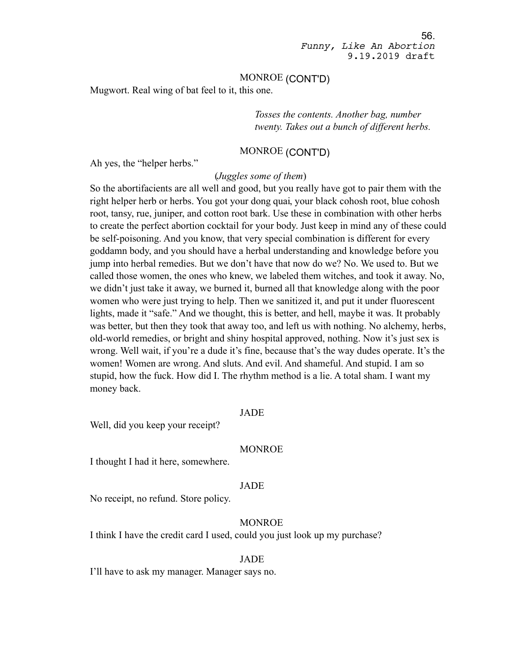## MONROE (CONT'D)

Mugwort. Real wing of bat feel to it, this one.

*Tosses the contents. Another bag, number twenty. Takes out a bunch of different herbs.*

# MONROE (CONT'D)

Ah yes, the "helper herbs."

#### (*Juggles some of them*)

So the abortifacients are all well and good, but you really have got to pair them with the right helper herb or herbs. You got your dong quai, your black cohosh root, blue cohosh root, tansy, rue, juniper, and cotton root bark. Use these in combination with other herbs to create the perfect abortion cocktail for your body. Just keep in mind any of these could be self-poisoning. And you know, that very special combination is different for every goddamn body, and you should have a herbal understanding and knowledge before you jump into herbal remedies. But we don't have that now do we? No. We used to. But we called those women, the ones who knew, we labeled them witches, and took it away. No, we didn't just take it away, we burned it, burned all that knowledge along with the poor women who were just trying to help. Then we sanitized it, and put it under fluorescent lights, made it "safe." And we thought, this is better, and hell, maybe it was. It probably was better, but then they took that away too, and left us with nothing. No alchemy, herbs, old-world remedies, or bright and shiny hospital approved, nothing. Now it's just sex is wrong. Well wait, if you're a dude it's fine, because that's the way dudes operate. It's the women! Women are wrong. And sluts. And evil. And shameful. And stupid. I am so stupid, how the fuck. How did I. The rhythm method is a lie. A total sham. I want my money back.

### JADE

Well, did you keep your receipt?

#### MONROE

I thought I had it here, somewhere.

#### JADE

No receipt, no refund. Store policy.

# MONROE

I think I have the credit card I used, could you just look up my purchase?

#### JADE

I'll have to ask my manager. Manager says no.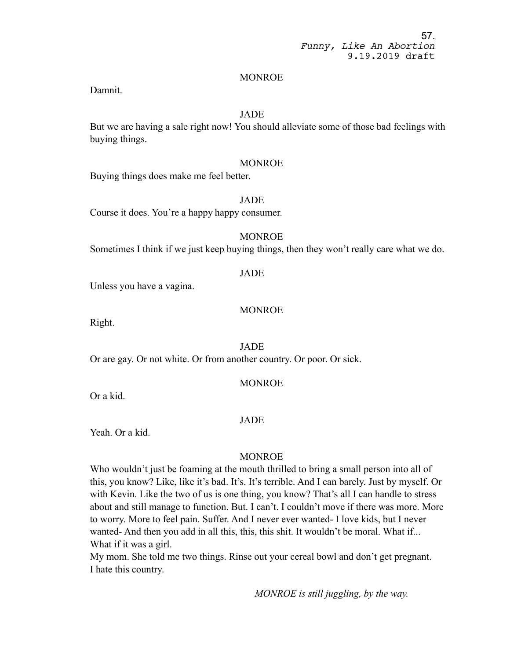#### MONROE

Damnit.

# JADE

But we are having a sale right now! You should alleviate some of those bad feelings with buying things.

### MONROE

Buying things does make me feel better.

#### JADE

Course it does. You're a happy happy consumer.

# MONROE

Sometimes I think if we just keep buying things, then they won't really care what we do.

# JADE

Unless you have a vagina.

# MONROE

Right.

# JADE

Or are gay. Or not white. Or from another country. Or poor. Or sick.

# MONROE

Or a kid.

# JADE

Yeah. Or a kid.

# MONROE

Who wouldn't just be foaming at the mouth thrilled to bring a small person into all of this, you know? Like, like it's bad. It's. It's terrible. And I can barely. Just by myself. Or with Kevin. Like the two of us is one thing, you know? That's all I can handle to stress about and still manage to function. But. I can't. I couldn't move if there was more. More to worry. More to feel pain. Suffer. And I never ever wanted- I love kids, but I never wanted- And then you add in all this, this, this shit. It wouldn't be moral. What if... What if it was a girl.

My mom. She told me two things. Rinse out your cereal bowl and don't get pregnant. I hate this country.

*MONROE is still juggling, by the way.*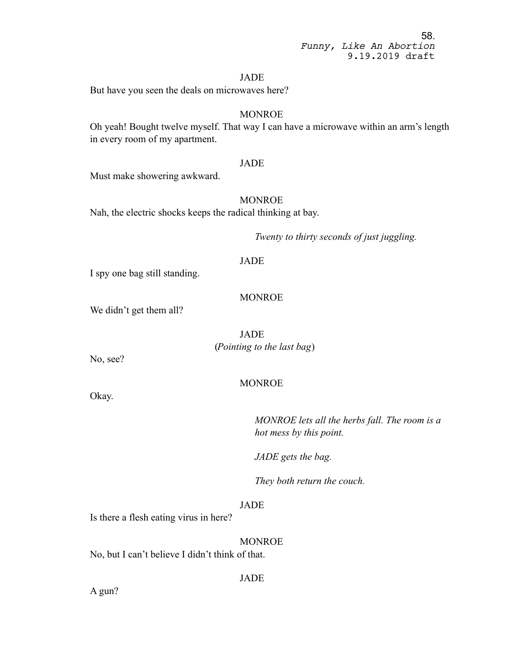#### JADE

But have you seen the deals on microwaves here?

# MONROE

Oh yeah! Bought twelve myself. That way I can have a microwave within an arm's length in every room of my apartment.

#### JADE

Must make showering awkward.

# **MONROE**

Nah, the electric shocks keeps the radical thinking at bay.

*Twenty to thirty seconds of just juggling.*

# JADE

I spy one bag still standing.

### MONROE

We didn't get them all?

JADE (*Pointing to the last bag*)

No, see?

Okay.

# MONROE

*MONROE lets all the herbs fall. The room is a hot mess by this point.*

*JADE gets the bag.*

*They both return the couch.*

# JADE

Is there a flesh eating virus in here?

**MONROE** 

No, but I can't believe I didn't think of that.

JADE

A gun?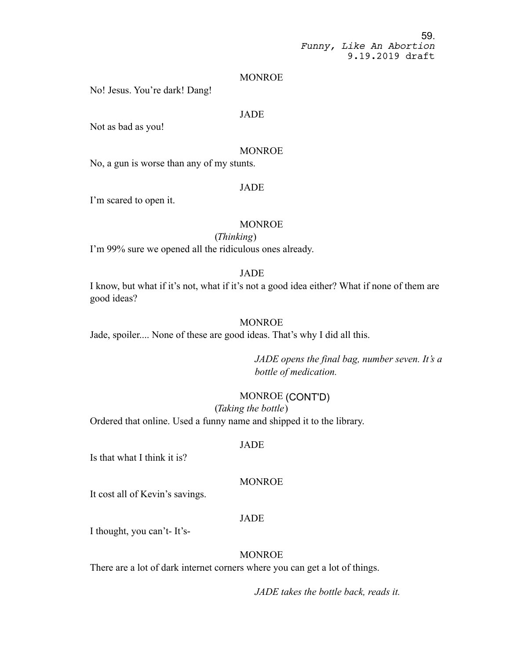#### **MONROE**

No! Jesus. You're dark! Dang!

#### JADE

Not as bad as you!

# MONROE

No, a gun is worse than any of my stunts.

#### JADE

I'm scared to open it.

#### MONROE

#### (*Thinking*)

I'm 99% sure we opened all the ridiculous ones already.

### JADE

I know, but what if it's not, what if it's not a good idea either? What if none of them are good ideas?

# **MONROE**

Jade, spoiler.... None of these are good ideas. That's why I did all this.

*JADE opens the final bag, number seven. It's a bottle of medication.*

#### MONROE (CONT'D)

(*Taking the bottle*) Ordered that online. Used a funny name and shipped it to the library.

#### JADE

Is that what I think it is?

# **MONROE**

It cost all of Kevin's savings.

# JADE

I thought, you can't- It's-

# **MONROE**

There are a lot of dark internet corners where you can get a lot of things.

*JADE takes the bottle back, reads it.*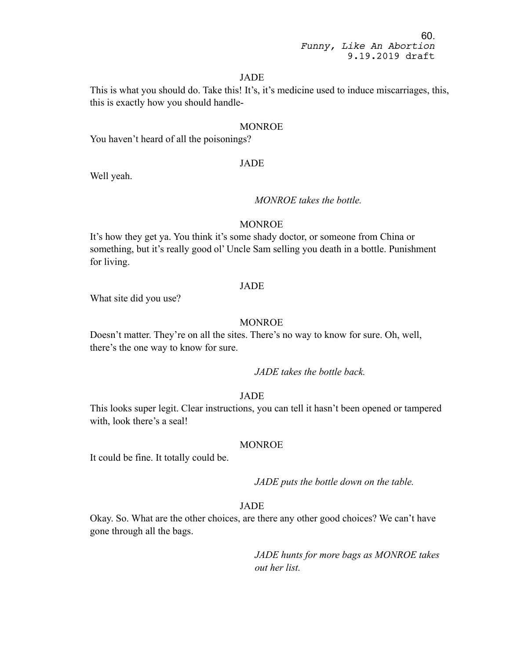# JADE

This is what you should do. Take this! It's, it's medicine used to induce miscarriages, this, this is exactly how you should handle-

### MONROE

You haven't heard of all the poisonings?

#### JADE

Well yeah.

# *MONROE takes the bottle.*

### MONROE

It's how they get ya. You think it's some shady doctor, or someone from China or something, but it's really good ol' Uncle Sam selling you death in a bottle. Punishment for living.

#### JADE

What site did you use?

# **MONROE**

Doesn't matter. They're on all the sites. There's no way to know for sure. Oh, well, there's the one way to know for sure.

*JADE takes the bottle back.*

# JADE

This looks super legit. Clear instructions, you can tell it hasn't been opened or tampered with, look there's a seal!

#### MONROE

It could be fine. It totally could be.

*JADE puts the bottle down on the table.*

# JADE

Okay. So. What are the other choices, are there any other good choices? We can't have gone through all the bags.

> *JADE hunts for more bags as MONROE takes out her list.*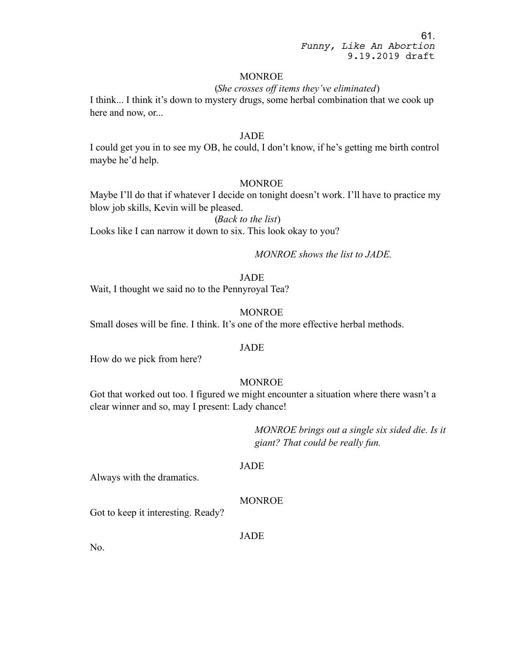#### MONROE

#### (*She crosses off items they've eliminated*)

I think... I think it's down to mystery drugs, some herbal combination that we cook up here and now, or...

#### JADE

I could get you in to see my OB, he could, I don't know, if he's getting me birth control maybe he'd help.

### MONROE

Maybe I'll do that if whatever I decide on tonight doesn't work. I'll have to practice my blow job skills, Kevin will be pleased.

(*Back to the list*) Looks like I can narrow it down to six. This look okay to you?

# *MONROE shows the list to JADE.*

#### JADE

Wait, I thought we said no to the Pennyroyal Tea?

#### **MONROE**

Small doses will be fine. I think. It's one of the more effective herbal methods.

#### JADE

How do we pick from here?

## **MONROE**

Got that worked out too. I figured we might encounter a situation where there wasn't a clear winner and so, may I present: Lady chance!

> *MONROE brings out a single six sided die. Is it giant? That could be really fun.*

#### JADE

Always with the dramatics.

# MONROE

Got to keep it interesting. Ready?

JADE

No.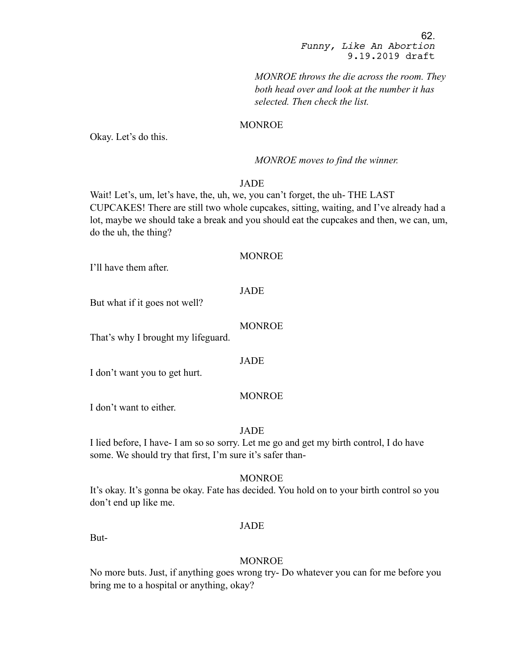*MONROE throws the die across the room. They both head over and look at the number it has selected. Then check the list.*

# **MONROE**

Okay. Let's do this.

#### *MONROE moves to find the winner.*

# JADE

Wait! Let's, um, let's have, the, uh, we, you can't forget, the uh- THE LAST CUPCAKES! There are still two whole cupcakes, sitting, waiting, and I've already had a lot, maybe we should take a break and you should eat the cupcakes and then, we can, um, do the uh, the thing?

#### MONROE

I'll have them after.

# JADE

But what if it goes not well?

### MONROE

That's why I brought my lifeguard.

#### JADE

I don't want you to get hurt.

#### MONROE

I don't want to either.

### JADE

I lied before, I have- I am so so sorry. Let me go and get my birth control, I do have some. We should try that first, I'm sure it's safer than-

# MONROE

It's okay. It's gonna be okay. Fate has decided. You hold on to your birth control so you don't end up like me.

#### JADE

But-

#### MONROE

No more buts. Just, if anything goes wrong try- Do whatever you can for me before you bring me to a hospital or anything, okay?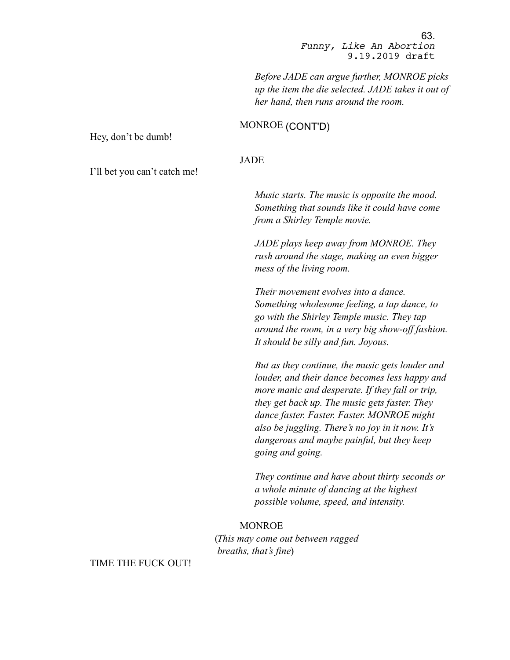*Before JADE can argue further, MONROE picks up the item the die selected. JADE takes it out of her hand, then runs around the room.* 

# MONROE (CONT'D)

JADE

Hey, don't be dumb!

I'll bet you can't catch me!

*Music starts. The music is opposite the mood. Something that sounds like it could have come from a Shirley Temple movie.*

*JADE plays keep away from MONROE. They rush around the stage, making an even bigger mess of the living room.* 

*Their movement evolves into a dance. Something wholesome feeling, a tap dance, to go with the Shirley Temple music. They tap around the room, in a very big show-off fashion. It should be silly and fun. Joyous.*

*But as they continue, the music gets louder and louder, and their dance becomes less happy and more manic and desperate. If they fall or trip, they get back up. The music gets faster. They dance faster. Faster. Faster. MONROE might also be juggling. There's no joy in it now. It's dangerous and maybe painful, but they keep going and going.*

*They continue and have about thirty seconds or a whole minute of dancing at the highest possible volume, speed, and intensity.* 

#### MONROE

(*This may come out between ragged breaths, that's fine*)

TIME THE FUCK OUT!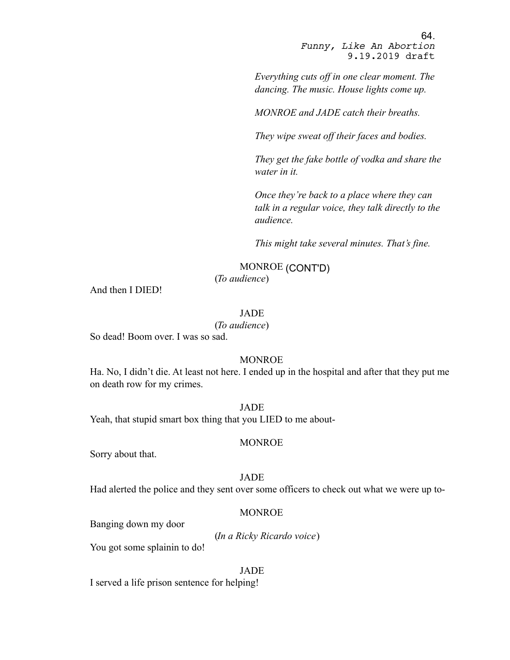*Everything cuts off in one clear moment. The dancing. The music. House lights come up.*

*MONROE and JADE catch their breaths.*

*They wipe sweat off their faces and bodies.*

*They get the fake bottle of vodka and share the water in it.* 

*Once they're back to a place where they can talk in a regular voice, they talk directly to the audience.* 

*This might take several minutes. That's fine.*

MONROE (CONT'D)

(*To audience*)

And then I DIED!

#### JADE

(*To audience*)

So dead! Boom over. I was so sad.

# **MONROE**

Ha. No, I didn't die. At least not here. I ended up in the hospital and after that they put me on death row for my crimes.

#### JADE

Yeah, that stupid smart box thing that you LIED to me about-

#### MONROE

Sorry about that.

#### JADE

Had alerted the police and they sent over some officers to check out what we were up to-

#### MONROE

Banging down my door

(*In a Ricky Ricardo voice*)

You got some splainin to do!

#### JADE

I served a life prison sentence for helping!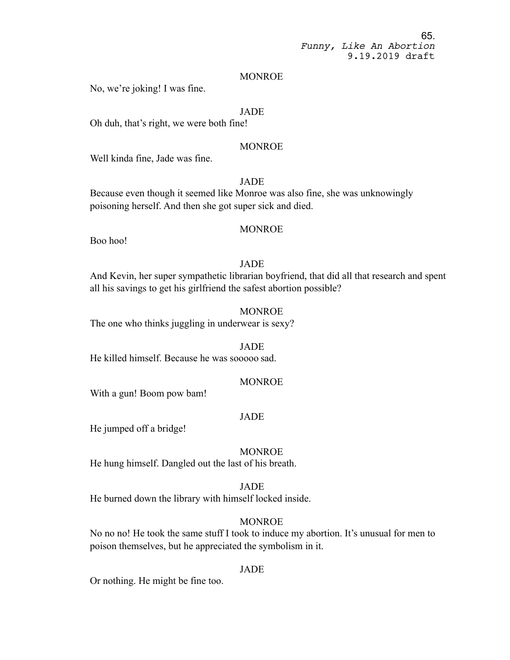#### MONROE

No, we're joking! I was fine.

### JADE

Oh duh, that's right, we were both fine!

# **MONROE**

Well kinda fine, Jade was fine.

# JADE

Because even though it seemed like Monroe was also fine, she was unknowingly poisoning herself. And then she got super sick and died.

# MONROE

Boo hoo!

# JADE

And Kevin, her super sympathetic librarian boyfriend, that did all that research and spent all his savings to get his girlfriend the safest abortion possible?

#### MONROE

The one who thinks juggling in underwear is sexy?

### JADE

He killed himself. Because he was sooooo sad.

# **MONROE**

With a gun! Boom pow bam!

#### JADE

He jumped off a bridge!

#### MONROE

He hung himself. Dangled out the last of his breath.

#### JADE

He burned down the library with himself locked inside.

### MONROE

No no no! He took the same stuff I took to induce my abortion. It's unusual for men to poison themselves, but he appreciated the symbolism in it.

# JADE

Or nothing. He might be fine too.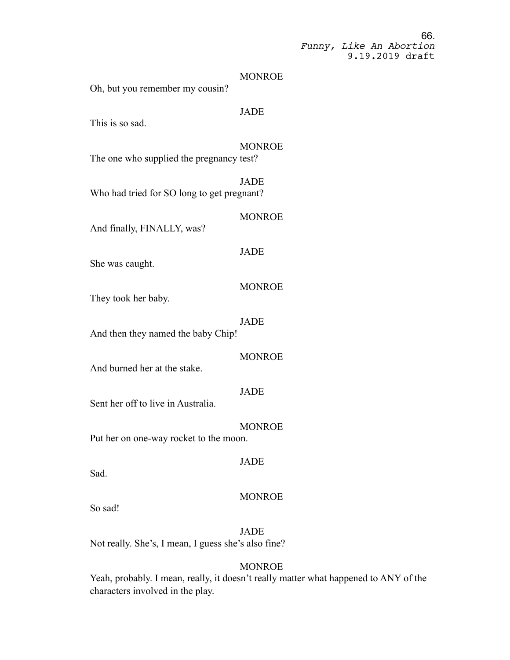#### MONROE

Oh, but you remember my cousin?

# **JADE**

This is so sad.

# MONROE

The one who supplied the pregnancy test?

**JADE** Who had tried for SO long to get pregnant?

### **MONROE**

And finally, FINALLY, was?

# JADE

She was caught.

# MONROE

They took her baby.

# JADE

And then they named the baby Chip!

#### MONROE

And burned her at the stake.

# JADE

Sent her off to live in Australia.

#### MONROE

Put her on one-way rocket to the moon.

#### JADE

Sad.

#### **MONROE**

So sad!

JADE Not really. She's, I mean, I guess she's also fine?

# MONROE

Yeah, probably. I mean, really, it doesn't really matter what happened to ANY of the characters involved in the play.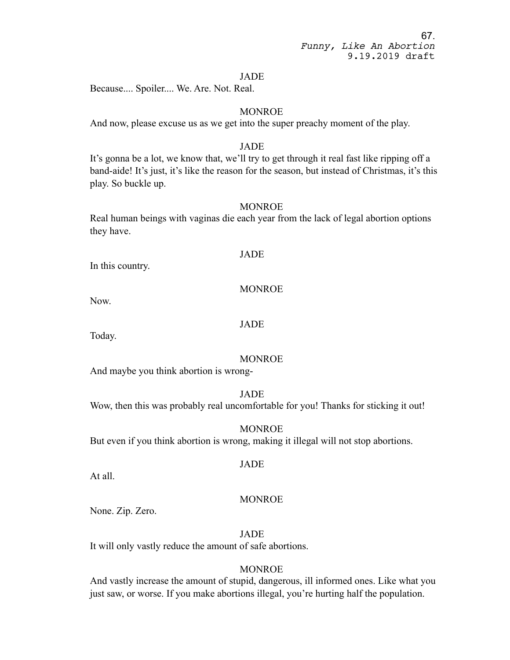#### JADE

Because.... Spoiler.... We. Are. Not. Real.

# **MONROE**

And now, please excuse us as we get into the super preachy moment of the play.

# JADE

It's gonna be a lot, we know that, we'll try to get through it real fast like ripping off a band-aide! It's just, it's like the reason for the season, but instead of Christmas, it's this play. So buckle up.

# MONROE

Real human beings with vaginas die each year from the lack of legal abortion options they have.

# JADE

In this country.

# MONROE

Now.

#### JADE

Today.

# **MONROE**

And maybe you think abortion is wrong-

JADE

Wow, then this was probably real uncomfortable for you! Thanks for sticking it out!

#### MONROE

But even if you think abortion is wrong, making it illegal will not stop abortions.

#### JADE

At all.

# MONROE

None. Zip. Zero.

JADE

It will only vastly reduce the amount of safe abortions.

# **MONROE**

And vastly increase the amount of stupid, dangerous, ill informed ones. Like what you just saw, or worse. If you make abortions illegal, you're hurting half the population.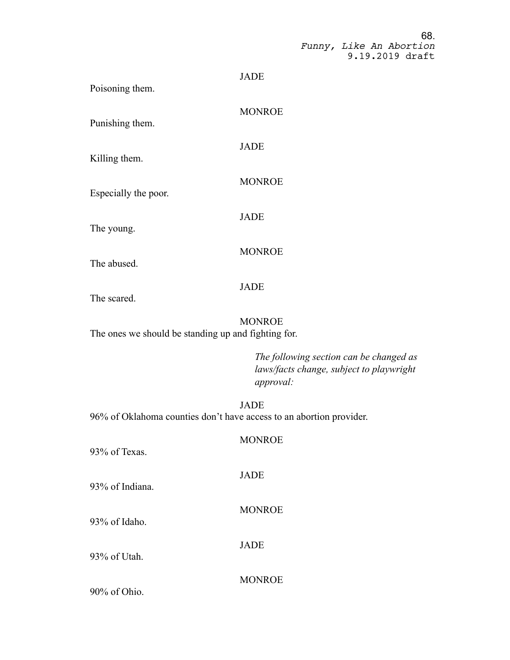| Poisoning them.      | <b>JADE</b>   |
|----------------------|---------------|
| Punishing them.      | <b>MONROE</b> |
| Killing them.        | <b>JADE</b>   |
| Especially the poor. | <b>MONROE</b> |
|                      | <b>JADE</b>   |
| The young.           | <b>MONROE</b> |
| The abused.          | <b>JADE</b>   |
| The scared.          | <b>MONROE</b> |
| $T \rightarrow 1$    |               |

The ones we should be standing up and fighting for.

*The following section can be changed as laws/facts change, subject to playwright approval:*

JADE 96% of Oklahoma counties don't have access to an abortion provider.

**MONROE** 

JADE

93% of Texas.

93% of Indiana.

93% of Idaho.

93% of Utah.

JADE

**MONROE** 

**MONROE** 

90% of Ohio.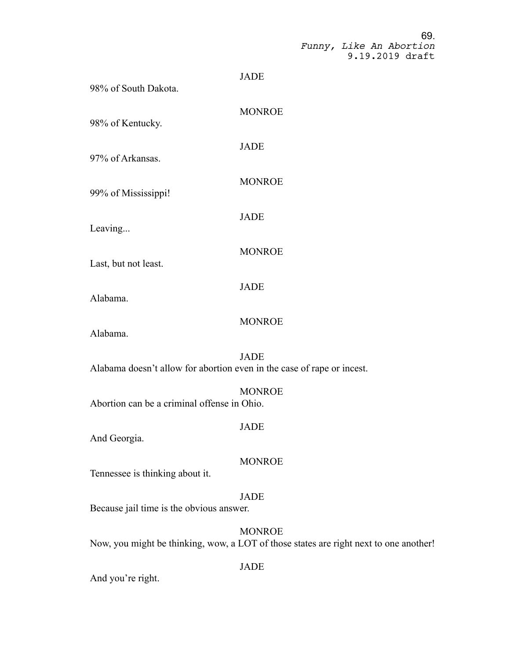| 98% of South Dakota.                                                   | <b>JADE</b>                                                                                            |  |
|------------------------------------------------------------------------|--------------------------------------------------------------------------------------------------------|--|
| 98% of Kentucky.                                                       | <b>MONROE</b>                                                                                          |  |
| 97% of Arkansas.                                                       | <b>JADE</b>                                                                                            |  |
| 99% of Mississippi!                                                    | <b>MONROE</b>                                                                                          |  |
| Leaving                                                                | <b>JADE</b>                                                                                            |  |
|                                                                        | <b>MONROE</b>                                                                                          |  |
| Last, but not least.                                                   | <b>JADE</b>                                                                                            |  |
| Alabama.                                                               | <b>MONROE</b>                                                                                          |  |
| Alabama.                                                               | <b>JADE</b>                                                                                            |  |
| Alabama doesn't allow for abortion even in the case of rape or incest. |                                                                                                        |  |
| Abortion can be a criminal offense in Ohio.                            | <b>MONROE</b>                                                                                          |  |
| And Georgia.                                                           | <b>JADE</b>                                                                                            |  |
| Tennessee is thinking about it.                                        | <b>MONROE</b>                                                                                          |  |
| Because jail time is the obvious answer.                               | <b>JADE</b>                                                                                            |  |
|                                                                        | <b>MONROE</b><br>Now, you might be thinking, wow, a LOT of those states are right next to one another! |  |
|                                                                        | <b>JADE</b>                                                                                            |  |

And you're right.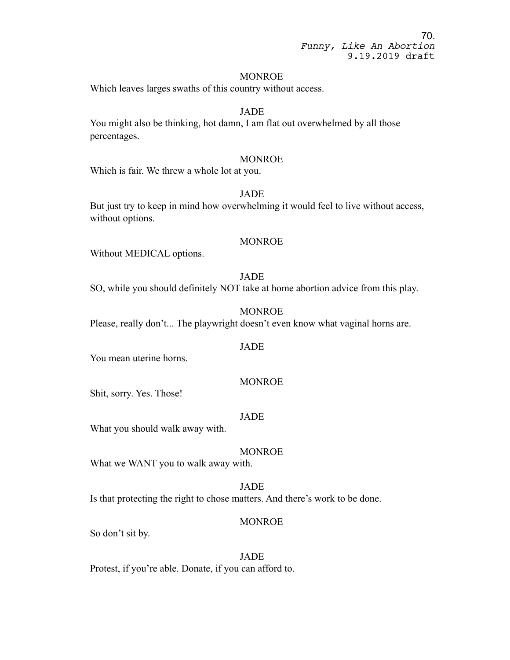#### MONROE

Which leaves larges swaths of this country without access.

# JADE

You might also be thinking, hot damn, I am flat out overwhelmed by all those percentages.

#### MONROE

Which is fair. We threw a whole lot at you.

JADE

But just try to keep in mind how overwhelming it would feel to live without access, without options.

#### MONROE

Without MEDICAL options.

JADE

SO, while you should definitely NOT take at home abortion advice from this play.

MONROE Please, really don't... The playwright doesn't even know what vaginal horns are.

#### JADE

You mean uterine horns.

# **MONROE**

Shit, sorry. Yes. Those!

#### JADE

What you should walk away with.

#### MONROE

What we WANT you to walk away with.

# JADE

Is that protecting the right to chose matters. And there's work to be done.

### MONROE

So don't sit by.

JADE Protest, if you're able. Donate, if you can afford to.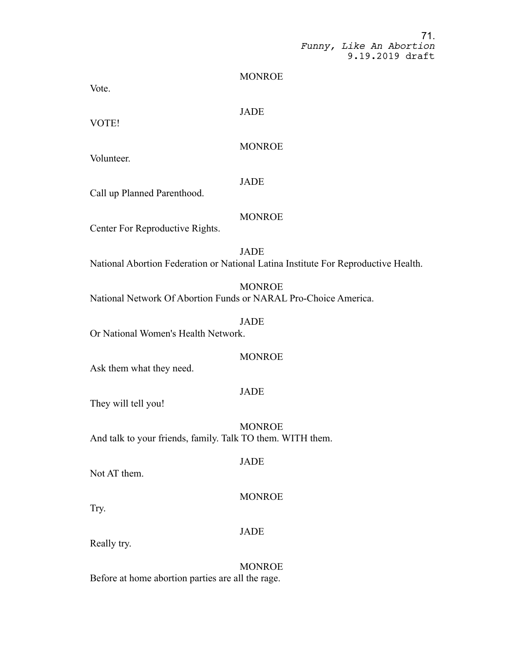#### MONROE

Vote.

**JADE** 

VOTE!

MONROE

Volunteer.

# JADE

Call up Planned Parenthood.

# **MONROE**

Center For Reproductive Rights.

JADE National Abortion Federation or National Latina Institute For Reproductive Health.

MONROE

National Network Of Abortion Funds or NARAL Pro-Choice America.

# **JADE**

Or National Women's Health Network.

#### MONROE

Ask them what they need.

# **JADE**

They will tell you!

MONROE And talk to your friends, family. Talk TO them. WITH them.

#### JADE

Not AT them.

# MONROE

Try.

#### JADE

Really try.

**MONROE** Before at home abortion parties are all the rage.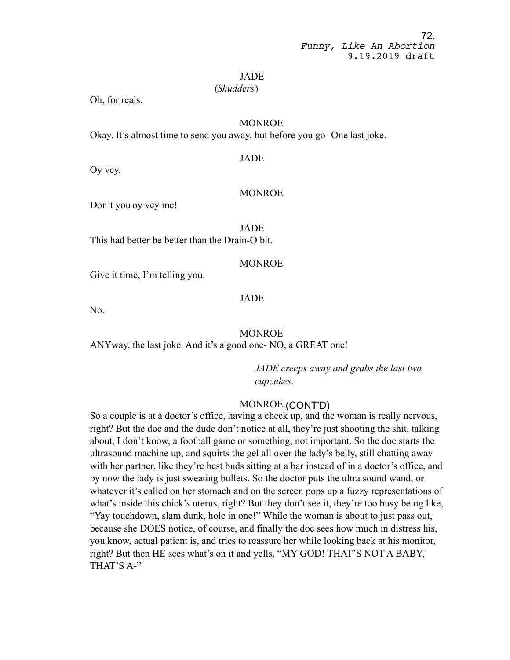#### JADE

#### (*Shudders*)

Oh, for reals.

## MONROE

Okay. It's almost time to send you away, but before you go- One last joke.

Oy vey.

# MONROE

JADE

Don't you oy vey me!

JADE This had better be better than the Drain-O bit.

## MONROE

Give it time, I'm telling you.

## JADE

No.

## MONROE

ANYway, the last joke. And it's a good one- NO, a GREAT one!

*JADE creeps away and grabs the last two cupcakes.* 

# MONROE (CONT'D)

So a couple is at a doctor's office, having a check up, and the woman is really nervous, right? But the doc and the dude don't notice at all, they're just shooting the shit, talking about, I don't know, a football game or something, not important. So the doc starts the ultrasound machine up, and squirts the gel all over the lady's belly, still chatting away with her partner, like they're best buds sitting at a bar instead of in a doctor's office, and by now the lady is just sweating bullets. So the doctor puts the ultra sound wand, or whatever it's called on her stomach and on the screen pops up a fuzzy representations of what's inside this chick's uterus, right? But they don't see it, they're too busy being like, "Yay touchdown, slam dunk, hole in one!" While the woman is about to just pass out, because she DOES notice, of course, and finally the doc sees how much in distress his, you know, actual patient is, and tries to reassure her while looking back at his monitor, right? But then HE sees what's on it and yells, "MY GOD! THAT'S NOT A BABY, THAT'S A-"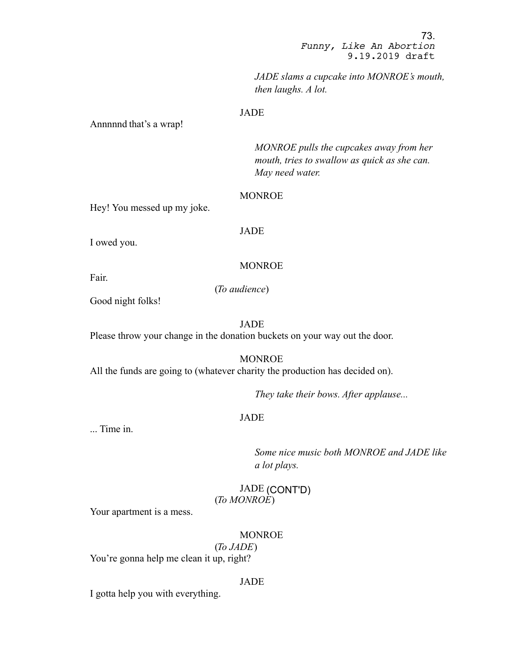73. *Funny, Like An Abortion* 9.19.2019 draft

*JADE slams a cupcake into MONROE's mouth, then laughs. A lot.*

## JADE

Annnnnd that's a wrap!

*MONROE pulls the cupcakes away from her mouth, tries to swallow as quick as she can. May need water.*

#### MONROE

Hey! You messed up my joke.

JADE

I owed you.

## MONROE

Fair.

(*To audience*)

Good night folks!

JADE

Please throw your change in the donation buckets on your way out the door.

MONROE All the funds are going to (whatever charity the production has decided on).

*They take their bows. After applause...*

# JADE

... Time in.

*Some nice music both MONROE and JADE like a lot plays.*

JADE (CONT'D) (*To MONROE*)

Your apartment is a mess.

#### MONROE

(*To JADE*) You're gonna help me clean it up, right?

#### JADE

I gotta help you with everything.